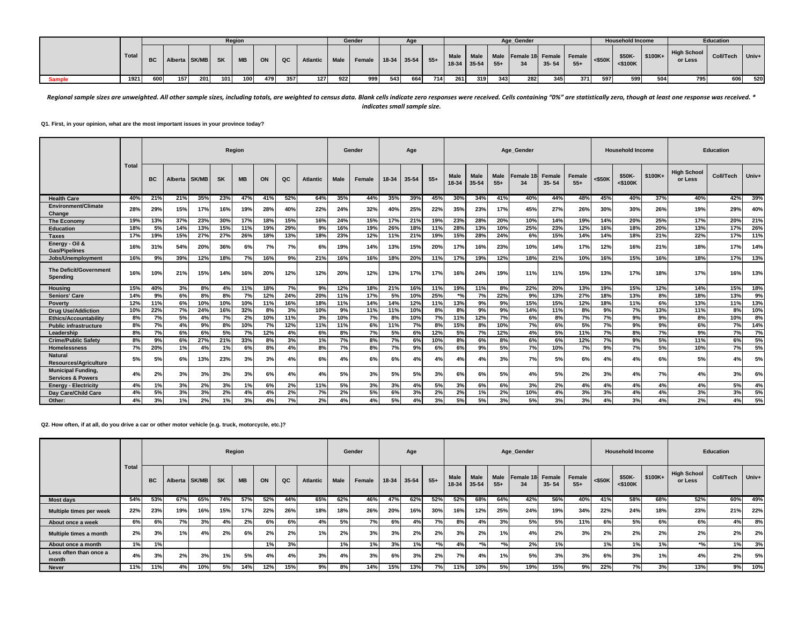|               |       |           |                     |     |     | Region |     |     |          |     | Gender                      |      | Age |     |               |           |       | Age Gender                                                                                                                                    |           |       |     | <b>Household Income</b> |           |                        | <b>Education</b> |     |
|---------------|-------|-----------|---------------------|-----|-----|--------|-----|-----|----------|-----|-----------------------------|------|-----|-----|---------------|-----------|-------|-----------------------------------------------------------------------------------------------------------------------------------------------|-----------|-------|-----|-------------------------|-----------|------------------------|------------------|-----|
|               | Total | <b>BC</b> | Alberta SK/MB SK MB |     |     |        | ON  | QC  | Atlantic |     | Male Female 18-34 35-54 55+ |      |     |     | $18-34$ 35-54 | Male Male | $55+$ | Male Female 18 Female Female $\left  \begin{array}{cc} 5.66 & 5.66 \\ 5.66 & 5.66 \\ 5.66 & 5.66 \\ 5.66 & 5.66 \\ \end{array} \right $<br>34 | $35 - 54$ | $55+$ |     | \$50K-<br>$<$ \$100 $K$ | $ $100K+$ | High School<br>or Less | Coll/Tech Univ+  |     |
| <b>Sample</b> | 1921  | 600       | 157                 | 201 | 101 | 100    | 479 | 357 | 127      | 922 | 999                         | 5431 | 664 | 714 | 261           | 319       | 343   | 282                                                                                                                                           | 345       | 371   | 597 | 599                     | 504       | 795                    | 606              | 520 |

Regional sample sizes are unweighted. All other sample sizes, including totals, are weighted to census data. Blank cells indicate zero responses were received. Cells containing "0%" are statistically zero, though at least *indicates small sample size.*

**Q1. First, in your opinion, what are the most important issues in your province today?**

|                                                           |              |     |         |              |           | Region    |     |     |                 |             | Gender |       | Age   |       |                      |               |                      | Age Gender      |                     |                        |        | <b>Household Income</b> |          |                               | <b>Education</b> |       |
|-----------------------------------------------------------|--------------|-----|---------|--------------|-----------|-----------|-----|-----|-----------------|-------------|--------|-------|-------|-------|----------------------|---------------|----------------------|-----------------|---------------------|------------------------|--------|-------------------------|----------|-------------------------------|------------------|-------|
|                                                           | <b>Total</b> | BC  | Alberta | <b>SK/MB</b> | <b>SK</b> | <b>MB</b> | ON  | QC  | <b>Atlantic</b> | <b>Male</b> | Female | 18-34 | 35-54 | $55+$ | <b>Male</b><br>18-34 | Male<br>35-54 | <b>Male</b><br>$55+$ | Female 18<br>34 | Female<br>$35 - 54$ | <b>Female</b><br>$55+$ | <\$50K | \$50K-<br>$<$ \$100 $K$ | $$100K+$ | <b>High School</b><br>or Less | <b>Coll/Tech</b> | Univ+ |
| <b>Health Care</b>                                        | 40%          | 21% | 21%     | 35%          | 23%       | 47%       | 41% | 52% | 64%             | 35%         | 44%    | 35%   | 39%   | 45%   | 30%                  | 34%           | 41%                  | 40%             | 44%                 | 48%                    | 45%    | 40%                     | 37%      | 40%                           | 42%              | 39%   |
| Environment/Climate<br>Change                             | 28%          | 29% | 15%     | 17%          | 16%       | 19%       | 28% | 40% | 22%             | 24%         | 32%    | 40%   | 25%   | 22%   | 35%                  | 23%           | 17%                  | 45%             | 27%                 | 26%                    | 30%    | 30%                     | 26%      | 19%                           | 29%              | 40%   |
| <b>The Economy</b>                                        | 19%          | 13% | 37%     | 23%          | 30%       | 17%       | 18% | 15% | 16%             | 24%         | 15%    | 17%   | 21%   | 19%   | 23%                  | 28%           | 20%                  | 10%             | 14%                 | 19%                    | 14%    | 20%                     | 25%      | 17%                           | 20%              | 21%   |
| <b>Education</b>                                          | 18%          | 5%  | 14%     | 13%          | 15%       | 11%       | 19% | 29% | 9%              | 16%         | 19%    | 26%   | 18%   | 11%   | 28%                  | 13%           | 10%                  | 25%             | 23%                 | 12%                    | 16%    | 18%                     | 20%      | 13%                           | 17%              | 26%   |
| <b>Taxes</b>                                              | 17%          | 19% | 15%     | 27%          | 27%       | 26%       | 18% | 13% | 18%             | 23%         | 12%    | 11%   | 21%   | 19%   | 15%                  | 28%           | 24%                  | 6%              | 15%                 | 14%                    | 14%    | 18%                     | 21%      | 22%                           | 17%              | 11%   |
| Energy - Oil &<br><b>Gas/Pipelines</b>                    | 16%          | 31% | 54%     | 20%          | 36%       | 6%        | 7%  | 7%  | 6%              | 19%         | 14%    | 13%   | 15%   | 20%   | 17%                  | 16%           | 23%                  | 10%             | 14%                 | 17%                    | 12%    | 16%                     | 21%      | 18%                           | 17%              | 14%   |
| Jobs/Unemployment                                         | 16%          | 9%  | 39%     | 12%          | 18%       | 7%        | 16% | 9%  | 21%             | 16%         | 16%    | 18%   | 20%   | 11%   | 17%                  | 19%           | 12%                  | 18%             | 21%                 | 10%                    | 16%    | 15%                     | 16%      | 18%                           | 17%              | 13%   |
| The Deficit/Government<br>Spending                        | 16%          | 10% | 21%     | 15%          | 14%       | 16%       | 20% | 12% | 12%             | 20%         | 12%    | 13%   | 17%   | 17%   | 16%                  | 24%           | 19%                  | 11%             | 11%                 | 15%                    | 13%    | 17%                     | 18%      | 17%                           | 16%              | 13%   |
| Housing                                                   | 15%          | 40% | 3%      | 8%           | 4%        | 11%       | 18% | 7%  | 9%              | 12%         | 18%    | 21%   | 16%   | 11%   | 19%                  | 11%           | 8%                   | 22%             | 20%                 | 13%                    | 19%    | 15%                     | 12%      | 14%                           | 15%              | 18%   |
| <b>Seniors' Care</b>                                      | 14%          | 9%  | 6%      | 8%           | 8%        | 7%        | 12% | 24% | 20%             | 11%         | 17%    | 5%    | 10%   | 25%   | $*$ %                | 7%            | 22%                  | 9%              | 13%                 | 27%                    | 18%    | 13%                     | 8%       | 18%                           | 13%              | 9%    |
| Poverty                                                   | 12%          | 11% | 6%      | 10%          | 10%       | 10%       | 11% | 16% | 18%             | 11%         | 14%    | 14%   | 12%   | 11%   | 13%                  | 9%            | 9%                   | 15%             | 15%                 | 12%                    | 18%    | 11%                     | 6%       | 13%                           | 11%              | 13%   |
| <b>Drug Use/Addiction</b>                                 | 10%          | 22% | 7%      | 24%          | 16%       | 32%       | 8%  | 3%  | 10%             | 9%          | 11%    | 11%   | 10%   | 8%    | 8%                   | 9%            | 9%                   | 14%             | 11%                 | 8%                     | 9%     | 7%                      | 13%      | 11%                           | 8%               | 10%   |
| <b>Ethics/Accountability</b>                              | 8%           | 7%  | 5%      | 4%           | 7%        | 2%        | 10% | 11% | 3%              | 10%         | 7%     | 8%    | 10%   | 7%    | 11%                  | 12%           | 7%                   | 6%              | 8%                  | 7%                     | 7%     | 9%                      | 9%       | 8%                            | 10%              | 8%    |
| <b>Public infrastructure</b>                              | 8%           | 7%  | 4%      | 9%           | 8%        | 10%       | 7%  | 12% | 11%             | 11%         | 6%     | 11%   | 7%    | 8%    | 15%                  | 8%            | 10%                  | 7%              | 6%                  | 5%                     | 7%     | 9%                      | 9%       | 6%                            | 7%               | 14%   |
| Leadership                                                | 8%           | 7%  | 6%      | 6%           | 5%        | 7%        | 12% | 4%  | 6%              | 8%          | 7%     | 5%    | 6%    | 12%   | 5%                   | 7%            | 12%                  | 4%              | 5%                  | 11%                    | 7%     | 8%                      | 7%       | 9%                            | 7%               | 7%    |
| <b>Crime/Public Safety</b>                                | 8%           | 9%  | 6%      | 27%          | 21%       | 33%       | 8%  | 3%  | 1%              | 7%          | 8%     | 7%    | 6%    | 10%   | 8%                   | 6%            | 8%                   | 6%              | 6%                  | 12%                    | 7%     | 9%                      | 5%       | 11%                           | 6%               | 5%    |
| <b>Homelessness</b>                                       | 7%           | 20% | 1%      | 4%           | 1%        | 6%        | 8%  | 4%  | 8%              | 7%          | 8%     | 7%    | 9%    | 6%    | 6%                   | 9%            | 5%                   | 7%              | 10%                 | 7%                     | 9%     | 7%                      | 5%       | 10%                           | 7%               | 5%    |
| Natural<br><b>Resources/Agriculture</b>                   | 5%           | 5%  | 6%      | 13%          | 23%       | 3%        | 3%  | 4%  | 6%              | 4%          | 6%     | 6%    | 4%    | 4%    | 4%                   | 4%            | 3%                   | 7%              | 5%                  | 6%                     | 4%     | 4%                      | 6%       | 5%                            | 4%               | 5%    |
| <b>Municipal Funding.</b><br><b>Services &amp; Powers</b> | 4%           | 2%  | 3%      | 3%           | 3%        | 3%        | 6%  | 4%  | 4%              | 5%          | 3%     | 5%    | 5%    | 3%    | 6%                   | 6%            | 5%                   | 4%              | 5%                  | 2%                     | 3%     | 4%                      | 7%       | 4%                            | 3%               | 6%    |
| <b>Enerav - Electricity</b>                               | 4%           | 1%  | 3%      | 2%           | 3%        | 1%        | 6%  | 2%  | 11%             | 5%          | 3%     | 3%    | 4%    | 5%    | 3%                   | 6%            | 6%                   | 3%              | 2%                  | 4%                     | 4%     | 4%                      | 4%       | 4%                            | 5%               | 4%    |
| Day Care/Child Care                                       | 4%           | 5%  | 3%      | 3%           | 2%        | 4%        | 4%  | 2%  | 7%              | 2%          | 5%     | 6%    | 3%    | 2%    | 2%                   | 1%            | 2%                   | 10%             | 4%                  | 3%                     | 3%     | 4%                      | 4%       | 3%                            | 3%               | 5%    |
| Other:                                                    | 4%           | 3%  | 1%      | 2%           | 1%        | 3%        | 4%  | 7%  | 2%              | 4%          | 4%     | 5%    | 4%    | 3%    | 5%                   | 5%            | 3%                   | 5%              | 3%                  | 3%                     | 4%     | 3%                      | 4%       | 2%                            | 4%               | 5%    |

**Q2. How often, if at all, do you drive a car or other motor vehicle (e.g. truck, motorcycle, etc.)?**

|                                 |       |                                                                              |     |     |     | Region |     |     |     |             | Gender |         | Age   |                           |                        |                          |                      | Age Gender             |           |                 |           | <b>Household Income</b> |          |                               | Education        |       |
|---------------------------------|-------|------------------------------------------------------------------------------|-----|-----|-----|--------|-----|-----|-----|-------------|--------|---------|-------|---------------------------|------------------------|--------------------------|----------------------|------------------------|-----------|-----------------|-----------|-------------------------|----------|-------------------------------|------------------|-------|
|                                 | Total | Alberta SK/MB<br><b>SK</b><br>QC<br><b>BC</b><br><b>MB</b><br>ON<br>Atlantic |     |     |     |        |     |     |     | <b>Male</b> | Female | $18-34$ | 35-54 | $55+$                     | <b>Male</b><br>$18-34$ | <b>Male</b><br>$35 - 54$ | <b>Male</b><br>$55+$ | Female 18 Female<br>34 | $35 - 54$ | Female<br>$55+$ | $<$ \$50K | \$50K-<br>$<$ \$100K    | $$100K+$ | <b>High School</b><br>or Less | <b>Coll/Tech</b> | Univ+ |
| Most days                       | 54%   | 53%                                                                          | 67% | 65% | 74% | 57%    | 52% | 44% | 65% | 62%         | 46%    | 47%     | 62%   | 52%                       | 52%                    | 68%                      | 64%                  | 42%                    | 56%       | 40%             | 41%       | 58%                     | 68%      | 52%                           | 60%              | 49%   |
| Multiple times per week         | 22%   | 23%                                                                          | 19% | 16% | 15% | 17%    | 22% | 26% | 18% | 18%         | 26%    | 20%     | 16%   | 30%                       | 16%                    | 12%                      | 25%                  | 24%                    | 19%       | 34%             | 22%       | 24%                     | 18%      | 23%                           | 21%              | 22%   |
| About once a week               | 6%    | 6%                                                                           | 7%  | 3%  | 4%  | 2%     | 6%  | 6%  | 4%  | 5%          | 7%     | 6%      | 4%    | 7%                        | 8%                     | 4%                       | 3%                   | 5%                     | 5%        | 11%             | 6%        | 5%                      | 6%       | 6%                            | 4%               | 8%    |
| Multiple times a month          | 2%    | 3%                                                                           | 1%  | 4%  | 2%  | 6%     | 2%  | 2%  | 1%  | 2%          | 3%     | 3%      | 2%    | 2%                        | 3%                     | 2%                       |                      | 4%                     | 2%        | 3%              | 2%        | 2%                      | 2%       | 2%                            | 2%               | 2%    |
| About once a month              | 1%    | 1%                                                                           |     |     |     |        | 1%  | 3%  |     | 1%          | 1%     | 3%      | 1%    | $*$ <sup>o</sup> / $\sim$ | 4%                     | $*$ %                    | $*0/2$               | 2%                     | 1%        |                 | 1%        | 1%                      | 19/      | $*$ <sup>o</sup>              | 1%               | 3%    |
| Less often than once a<br>month | 4%    | 3%                                                                           | 2%  | 3%  | 1%  | 5%     | 4%  | 4%  | 3%  | 4%          | 3%     | 6%      | 3%    | 2%                        | 7%                     | 4%                       | 1%                   | 5%                     | 3%        | 3%              | 6%        | 3%                      | 1%       | 4%                            | 2%               | 5%    |
| <b>Never</b>                    | 11%   | 11%                                                                          | 4%  | 10% | 5%  | 14%    | 12% | 15% | 9%  | 8%          | 14%    | 15%     | 13%   | 7%                        | 11%                    | 10%                      | 5%                   | 19%                    | 15%       | 9%              | 22%       | 7%                      | 3%       | 13%                           | 9%               | 10%   |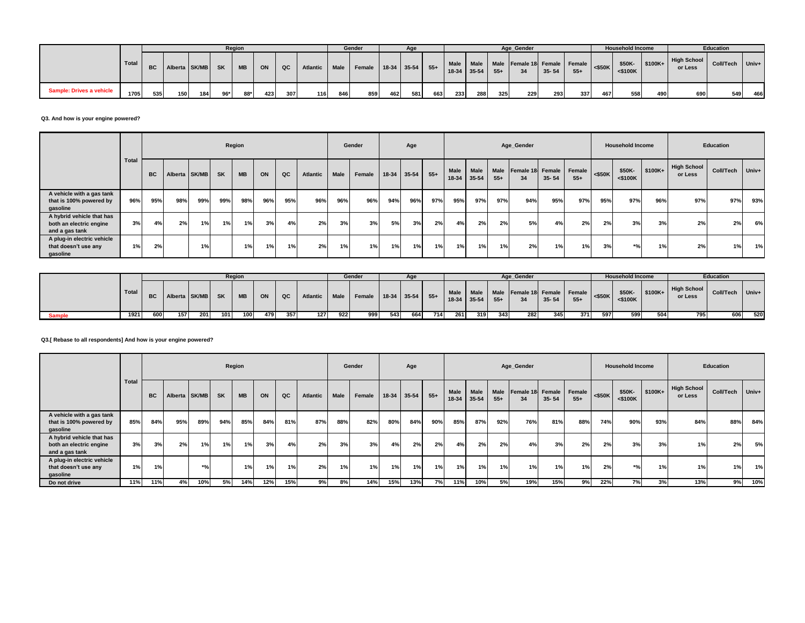|                          |       |     |                     |     |       | Region    |     |     |                 |      | Gender                 |     | Age   |     |             |           |       | Age Gender                                                                             |           |       |     | <b>Household Income</b> |                  |                        | <b>Education</b> |     |
|--------------------------|-------|-----|---------------------|-----|-------|-----------|-----|-----|-----------------|------|------------------------|-----|-------|-----|-------------|-----------|-------|----------------------------------------------------------------------------------------|-----------|-------|-----|-------------------------|------------------|------------------------|------------------|-----|
|                          | Total |     | BC Alberta SK/MB SK |     |       | <b>MB</b> | ON  | QC  | <b>Atlantic</b> | Male | Female 18-34 35-54 55+ |     |       |     | 18-34 35-54 | Male Male | $55+$ | Male Female 18 Female Female $\left  \begin{array}{cc} 5.50 \end{array} \right $<br>34 | $35 - 54$ | $55+$ |     | $<$ \$100 $K$           | $$50K - $100K +$ | High School<br>or Less | Coll/Tech Univ+  |     |
| Sample: Drives a vehicle | 1705  | 535 | 150                 | 184 | $96*$ | 88*       | 423 | 307 | 116             | 846  | 859                    | 462 | 581 I | 663 | 233         | 288       | 325   | 229                                                                                    | 293       | 337   | 467 | 558                     | 490              | 690                    | 549              | 466 |

**Q3. And how is your engine powered?**

|                                                                        |              |           |               |     |           | Region    |     |     |          |      | Gender |     | Age         |       |                     |      |               | Age_Gender             |           |                        |           | <b>Household Income</b> |          |                               | Education |         |
|------------------------------------------------------------------------|--------------|-----------|---------------|-----|-----------|-----------|-----|-----|----------|------|--------|-----|-------------|-------|---------------------|------|---------------|------------------------|-----------|------------------------|-----------|-------------------------|----------|-------------------------------|-----------|---------|
|                                                                        | <b>Total</b> | <b>BC</b> | Alberta SK/MB |     | <b>SK</b> | <b>MB</b> | ON  | QC  | Atlantic | Male | Female |     | 18-34 35-54 | $55+$ | Male<br>18-34 35-54 | Male | Male<br>$55+$ | Female 18 Female<br>34 | $35 - 54$ | <b>Female</b><br>$55+$ | $<$ \$50K | \$50K-<br>$<$ \$100K    | $$100K+$ | <b>High School</b><br>or Less | Coll/Tech | $Univ+$ |
| A vehicle with a gas tank<br>that is 100% powered by<br>gasoline       | 96%          | 95%       | 98%           | 99% | 99%       | 98%       | 96% | 95% | 96%      | 96%  | 96%    | 94% | 96%         | 97%   | 95%                 | 97%  | 97%           | 94%                    | 95%       | 97%                    | 95%       | 97%                     | 96%      | 97%                           | 97%       | 93%     |
| A hybrid vehicle that has<br>both an electric engine<br>and a gas tank | 3%           | 4%        | 2%            | 1%  | 1%        | 1%        | 3%  | 4%  | 2%       | 3%   | 3%     | 5%  | 3%          | 2%    | 4%                  | 2%   | 2%            | 5%                     | 4%        | 2%                     | 2%        | 3%                      | 3%       | 2%                            | 2%        | 6%      |
| A plug-in electric vehicle<br>that doesn't use any<br>gasoline         | 1%           | 2%        |               | 1%  |           | 1%        | 1%  | 1%  | 2%       | 1%   | 1%     | 1%  | 1%          | 1%    | 1%                  | 1%   | 1%            | 2%                     | 1%        | 1%                     | 3%        | *%۱                     | 1%       | 2%                            | 1%        | 1%      |

|               |              |     |                            |     |                  | Region |     |      |          |             | Gender                 |     | Age |     |     |                   |     | Age Gender                                   |           |       |           | <b>Household Income</b> |                       |                        | <b>Education</b> |           |
|---------------|--------------|-----|----------------------------|-----|------------------|--------|-----|------|----------|-------------|------------------------|-----|-----|-----|-----|-------------------|-----|----------------------------------------------|-----------|-------|-----------|-------------------------|-----------------------|------------------------|------------------|-----------|
|               | <b>Total</b> |     | <b>BC</b> Alberta SK/MB SK |     |                  | MB     | ON  | QC   | Atlantic | $\sim$ Male | Female 18-34 35-54 55+ |     |     |     |     | $18-34$ 35-54 55+ |     | Male Male Male Female 18 Female Female<br>34 | $35 - 54$ | $55+$ | $<$ \$50K | \$50K-<br>$<$ \$100K    | $\frac{1}{2}$ \$100K+ | High School<br>or Less | Coll/Tech        | $ $ Univ+ |
| <b>Sample</b> | 1921         | 600 | 157                        | 201 | 101 <sup>1</sup> | 100    | 479 | 3571 | 127      | 922         | 999                    | 543 | 664 | 714 | 261 | 319               | 343 | 2821                                         | 345       | 371   | 597       | 599                     | 504                   | 795                    | 606              | 520       |

**Q3.[ Rebase to all respondents] And how is your engine powered?**

|                                                                        |              |           |               |                    |     | Region |     |     |                 |      | Gender |             | Age |       |                 |                   |                      | Age Gender             |           |                 |           | <b>Household Income</b> |         |                               | Education |           |
|------------------------------------------------------------------------|--------------|-----------|---------------|--------------------|-----|--------|-----|-----|-----------------|------|--------|-------------|-----|-------|-----------------|-------------------|----------------------|------------------------|-----------|-----------------|-----------|-------------------------|---------|-------------------------------|-----------|-----------|
|                                                                        | <b>Total</b> | <b>BC</b> | Alberta SK/MB |                    | SK  | MB     | ON  | QC  | <b>Atlantic</b> | Male | Female | 18-34 35-54 |     | $55+$ | Male<br>$18-34$ | Male<br>$35 - 54$ | <b>Male</b><br>$55+$ | Female 18 Female<br>34 | $35 - 54$ | Female<br>$55+$ | $<$ \$50K | \$50K-<br>$<$ \$100 $K$ | \$100K+ | <b>High School</b><br>or Less | Coll/Tech | $ $ Univ+ |
| A vehicle with a gas tank<br>that is 100% powered by<br>gasoline       | 85%          | 84%       | 95%           | 89%                | 94% | 85%    | 84% | 81% | 87%             | 88%  | 82%    | 80%         | 84% | 90%   | 85%             | 87%               | 92%                  | 76%                    | 81%       | 88%             | 74%       | 90%                     | 93%     | 84%                           | 88%       | 84%       |
| A hybrid vehicle that has<br>both an electric engine<br>and a gas tank | 3%           | 3%        | 2%            | 1%                 | 1%  | 1%     | 3%  | 4%  | 2%              | 3%   | 3%     | 4%          | 2%  | 2%    | 4%              | 2%                | 2%                   | 4%                     | 3%        | 2%              | 2%        | 3%                      | 3%      | 1%                            | 2%        | 5%        |
| A plug-in electric vehicle<br>that doesn't use any<br>gasoline         | 1%           | 1%        |               | $*$ <sup>o</sup> / |     | 1%     | 1%  | 1%  | 2%              | 1%   | 1%     | 1%          | 1%  | 1%    | 1%              | 1%                | 1%1                  | 1%                     | 1%        | 1%              | 2%        | $*$ <sup>o</sup>        | 1%      | 1%                            | 1%        | 1%        |
| Do not drive                                                           | 11%          | 11%       | 4%            | 10%                | 5%  | 14%    | 12% | 15% | 9%              | 8%   | 14%    | 15%         | 13% | 7%    | 11%             | 10%               | 5%                   | 19%                    | 15%       | 9%              | 22%       | 7%                      | 3%      | 13%                           | 9%        | 10%       |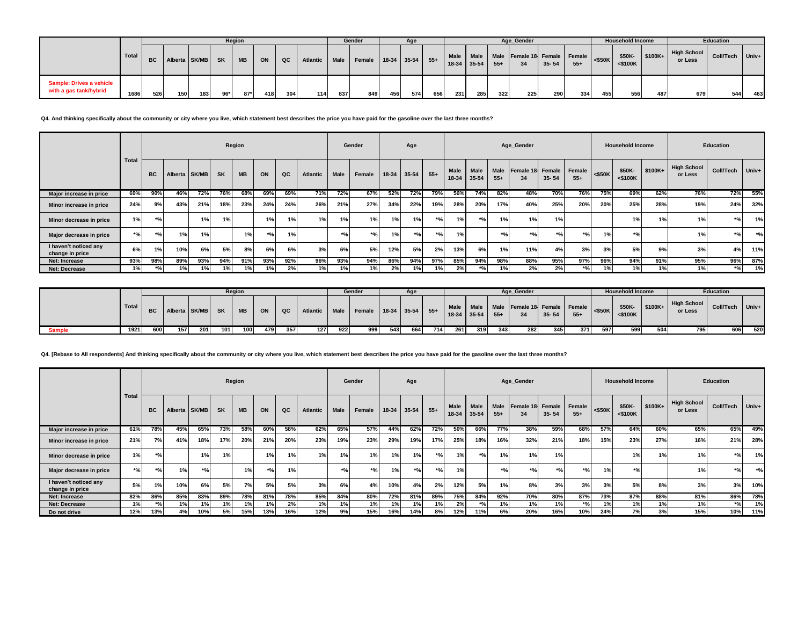|                                                    |       |     |                         |      |     | Region    |     |     |          |      | Gender |     | Age               |     |             |           |       | Age Gender                         |           |       |                         | <b>Household Income</b> |             |                               | Education        |       |
|----------------------------------------------------|-------|-----|-------------------------|------|-----|-----------|-----|-----|----------|------|--------|-----|-------------------|-----|-------------|-----------|-------|------------------------------------|-----------|-------|-------------------------|-------------------------|-------------|-------------------------------|------------------|-------|
|                                                    | Total |     | <b>BC</b> Alberta SK/MB |      | SK  | <b>MB</b> | ON  | QC  | Atlantic | Male | Female |     | $18-34$ 35-54 55+ |     | 18-34 35-54 | Male Male | $55+$ | Male Female 18 Female Female<br>34 | $35 - 54$ | $55+$ | $\left  \right.$ <\$50K | \$50K-<br>$<$ \$100K    | $1$ \$100K+ | <b>High School</b><br>or Less | <b>Coll/Tech</b> | Univ+ |
| Sample: Drives a vehicle<br>with a gas tank/hybrid | 1686  | 526 | 150                     | 1831 | 96* | $87*$     | 418 | 304 | 114      | 837  | 849    | 456 | 574               | 656 | 231         | 285       | 322   | 225                                | 290       | 334   | 455                     | 556                     | 487         | 679                           | 544              | 463   |

**Q4. And thinking specifically about the community or city where you live, which statement best describes the price you have paid for the gasoline over the last three months?**

|                                          |       |           |               |     |           | Region    |       |     |          |             | Gender                      |       | Age              |        |                        |               |                      | Age Gender             |                                 |                 |           | <b>Household Income</b> |         |                               | <b>Education</b> |       |
|------------------------------------------|-------|-----------|---------------|-----|-----------|-----------|-------|-----|----------|-------------|-----------------------------|-------|------------------|--------|------------------------|---------------|----------------------|------------------------|---------------------------------|-----------------|-----------|-------------------------|---------|-------------------------------|------------------|-------|
|                                          | Total | <b>BC</b> | Alberta SK/MB |     | <b>SK</b> | <b>MB</b> | ON    | QC  | Atlantic | <b>Male</b> | Female                      | 18-34 | $35 - 54$        | $55+$  | <b>Male</b><br>$18-34$ | Male<br>35-54 | <b>Male</b><br>$55+$ | Female 18 Female<br>34 | $35 - 54$                       | Female<br>$55+$ | $<$ \$50K | \$50K-<br>$<$ \$100K    | \$100K+ | <b>High School</b><br>or Less | Coll/Tech        | Univ+ |
| Major increase in price                  | 69%   | 90%       | 46%           | 72% | 76%       | 68%       | 69%   | 69% | 71%      | 72%         | 67%                         | 52%   | 72%              | 79%    | 56%                    | 74%           | 82%                  | 48%                    | 70%                             | 76%             | 75%       | 69%                     | 62%     | 76%                           | 72%              | 55%   |
| Minor increase in price                  | 24%   | 9%        | 43%           | 21% | 18%       | 23%       | 24%   | 24% | 26%      | 21%         | 27%                         | 34%   | 22%              | 19%    | 28%                    | 20%           | 17%                  | 40%                    | 25%                             | 20%             | 20%       | 25%                     | 28%     | 19%                           | 24%              | 32%   |
| Minor decrease in price                  | 1%    | $*$ %     |               | 1%  | 1%        |           | 1%    | 1%  | 1%       | 1%          | 1%                          | 1%    | 1%               | $*$ 0/ | 1%                     | $*$ 0/        | 1%                   | 1%                     | 1%                              |                 |           | 1%                      | 1%      | 1%                            | $*961$           | 1%    |
| Major decrease in price                  | $*$ % | $*01$     | 1%            | 1%  |           | 1%        | $*01$ | 40  |          | $*$ 0/      | $*$ <sup>o</sup> / $\alpha$ | 1%    | $*$ <sup>o</sup> | $*$ 0/ | 1%                     |               | $*0/$                | $*$ 0/                 | $*$ <sup>o</sup> / <sub>0</sub> | $*$ %           | 1%        | $*$ %                   |         | 1%                            | $*$ %            | $*$ % |
| I haven't noticed any<br>change in price | 6%    | 1%        | 10%           | 6%  | 5%        | 8%        | 6%    | 6%  | 3%       | 6%          | 5%                          | 12%   | 5%               | 2%     | 13%                    | 6%            | 1%                   | 11%                    | 4%                              | 3%              | 3%        | 5%                      | 9%      | 3%                            | 4%               | 11%   |
| <b>Net: Increase</b>                     | 93%   | 98%       | 89%           | 93% | 94%       | 91%       | 93%   | 92% | 96%      | 93%         | 94%                         | 86%   | 94%              | 97%    | 85%                    | 94%           | 98%                  | 88%                    | 95%                             | 97%             | 96%       | 94%                     | 91%     | 95%                           | 96%              | 87%   |
| <b>Net: Decrease</b>                     | 1%    |           | 1%            | 1%1 | 1%        | 1%        |       | 2%  | 1%       | 1%          | 1%                          | 2%    | 1%               |        | 2%                     | $*$ 0         | 1%                   | 2%                     | 2%                              | $*9/6$          |           | 1%                      | 1%      | 1%                            | $*9/6$           | 1%    |

|               |       |           |                  |     |     | Region    |     |         |          |             | Gender                 |     | Aq  |     |     |                |       | Age_Gender                                               |           |       |           | <b>Household Income</b> |          |                               | <b>Education</b> |     |
|---------------|-------|-----------|------------------|-----|-----|-----------|-----|---------|----------|-------------|------------------------|-----|-----|-----|-----|----------------|-------|----------------------------------------------------------|-----------|-------|-----------|-------------------------|----------|-------------------------------|------------------|-----|
|               | Total | <b>BC</b> | Alberta SK/MB SK |     |     | <b>MB</b> | ON  | $Q$ $C$ | Atlantic | <b>Male</b> | Female 18-34 35-54 55+ |     |     |     |     | $135-34$ 35-54 | $55+$ | Male   Male   Male   Female 18   Female   Female  <br>34 | $35 - 54$ | $55+$ | $<$ \$50K | \$50K-<br>$<$ \$100 $K$ | $$100K+$ | <b>High School</b><br>or Less | Coll/Tech Univ+  |     |
| <b>Sample</b> | 1921  | 600       | 157              | 201 | 101 | 100       | 479 | 357     | 127      | 922         | 999                    | 543 | 664 | 714 | 261 | 319            | 343   | 282                                                      | 3451      | 371   | 597       | 599                     | 504      | 795                           | 606              | 520 |

**Q4. [Rebase to All respondents] And thinking specifically about the community or city where you live, which statement best describes the price you have paid for the gasoline over the last three months?**

|                                          |       |           |               |        |           | Region    |       |     |          |                                 | Gender                          |           | Age       |                    |                          |                      |                      | Age_Gender             |                     |                 |           | <b>Household Income</b> |         |                               | Education        |       |
|------------------------------------------|-------|-----------|---------------|--------|-----------|-----------|-------|-----|----------|---------------------------------|---------------------------------|-----------|-----------|--------------------|--------------------------|----------------------|----------------------|------------------------|---------------------|-----------------|-----------|-------------------------|---------|-------------------------------|------------------|-------|
|                                          | Total | <b>BC</b> | Alberta SK/MB |        | <b>SK</b> | <b>MB</b> | ON    | QC  | Atlantic | <b>Male</b>                     | Female                          | $18 - 34$ | $35 - 54$ | $55+$              | <b>Male</b><br>$18 - 34$ | <b>Male</b><br>35-54 | <b>Male</b><br>$55+$ | Female 18 Female<br>34 | $35 - 54$           | Female<br>$55+$ | $<$ \$50K | \$50K-<br>$<$ \$100K    | \$100K+ | <b>High School</b><br>or Less | <b>Coll/Tech</b> | Univ+ |
| Major increase in price                  | 61%   | 78%       | 45%           | 65%    | 73%       | 58%       | 60%   | 58% | 62%      | 65%                             | 57%                             | 44%       | 62%       | 72%                | 50%                      | 66%                  | 77%                  | 38%                    | 59%                 | 68%             | 57%       | 64%                     | 60%     | 65%                           | 65%              | 49%   |
| Minor increase in price                  | 21%   | 7%        | 41%           | 18%    | 17%       | 20%       | 21%   | 20% | 23%      | 19%                             | 23%                             | 29%       | 19%       | 17%                | 25%                      | 18%                  | 16%                  | 32%                    | 21%                 | 18%             | 15%       | 23%                     | 27%     | 16%                           | 21%              | 28%   |
| Minor decrease in price                  | 1%    | $*9/6$    |               | 1%     | 1%        |           | 1%1   | 1%  | 1%       | 1%                              | 1%                              | 1%        | 1%        | $*$ 0/             | 101                      | $*$ <sup>o</sup> /   | 1%                   | 1%                     | 1%                  |                 |           | 1%                      | 1%      | 1%                            | $*$ %            | 1%    |
| Major decrease in price                  | $*$ % | $*9/6$    | 1%            | $*$ 0/ |           | 1%        | $*$ % | 1%  |          | $*$ <sup>o</sup> / <sub>0</sub> | $*$ <sup>o</sup> / <sub>0</sub> | 1%        | $*$ %     | $*$ <sup>o</sup> / | 1%                       |                      | $*0/$                | $*$ %                  | $*$ <sup>o</sup> /c | $*$ 0/          | 1%        | $*$ <sup>o</sup> /      |         | 1%                            | $*$ %            | $*$ % |
| I haven't noticed any<br>change in price | 5%    | 1%        | 10%           | 6%     | 5%        | 7%        | 5%    | 5%  | 3%       | 6%                              | 4%                              | 10%       | 4%        | 2%                 | 12%                      | 5%                   | 1%                   | 8%                     | 3%                  | 3%              | 3%        | 5%                      | 8%      | 3%                            | 3%               | 10%   |
| <b>Net: Increase</b>                     | 82%   | 86%       | 85%           | 83%    | 89%       | 78%       | 81%   | 78% | 85%      | 84%                             | 80%                             | 72%       | 81%       | 89%                | 75%                      | 84%                  | 92%                  | 70%                    | 80%                 | 87%             | 73%       | 87%                     | 88%     | 81%                           | 86%              | 78%   |
| <b>Net: Decrease</b>                     | 1%    | $*$ %     | 1%            | 1%     | 1%        | 1%        |       | 2%  | 1%       | 1%                              | 1%                              |           | 1%        | 1%                 | 2%                       | $*$ <sub>0</sub>     | 1%                   | 1%                     | 1%                  | $*$ %           | 1%        | 1%                      | 1%      | 1%                            | $*$ %            | 1%    |
| Do not drive                             | 12%   | 13%       | 4%            | 0%     | 5%        | 15%       | 13%   | 16% | 12%      | 9%                              | 15%                             | 16%       | 14%       | 8%                 | 12%                      | 11%                  | 6%                   | 20%                    | 16%                 | 10%             | 24%       | 7%                      | 3%      | 15%                           | 10%              | 11%   |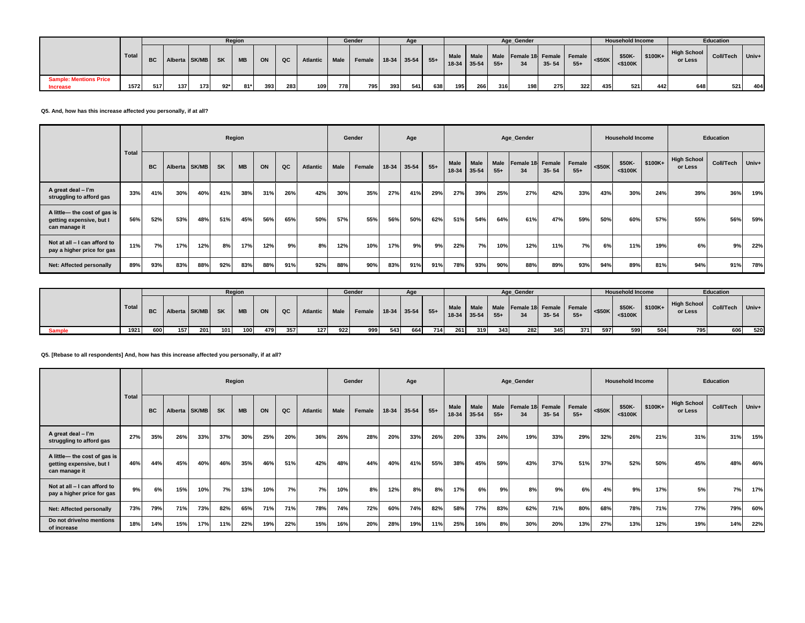|                                                  |       |     |                  |     |           | Region    |     |     |          |     | Gender                      |     | Age |     |     |               |       | Age_Gender                                             |           |       |           | <b>Household Income</b> |           |                        | Education |       |
|--------------------------------------------------|-------|-----|------------------|-----|-----------|-----------|-----|-----|----------|-----|-----------------------------|-----|-----|-----|-----|---------------|-------|--------------------------------------------------------|-----------|-------|-----------|-------------------------|-----------|------------------------|-----------|-------|
|                                                  | Total |     | BC Alberta SK/MB |     | <b>SK</b> | <b>MB</b> | ON  | QC  | Atlantic |     | Male Female 18-34 35-54 55+ |     |     |     |     | $18-34$ 35-54 | $55+$ | Male   Male   Male   Female 18 Female   Female  <br>34 | $35 - 54$ | $55+$ | $<$ \$50K | \$50K-<br>$<$ \$100 $K$ | $$100K +$ | High School<br>or Less | Coll/Tech | Univ+ |
| <b>Sample: Mentions Price</b><br><b>Increase</b> | 1572  | 517 | 137              | 173 | $92*$     | $81*$     | 393 | 283 | 109      | 778 | 795                         | 393 | 541 | 638 | 195 | 266           | 316   | 198                                                    | 275       | 322   | 435       | 5211                    | 442       | 648                    | 521       | 404   |

**Q5. And, how has this increase affected you personally, if at all?**

|                                                                           |       |           |               |     |           | Region    |     |             |          |             | Gender |     | Age         |       |                          |                   |                      | Age_Gender             |           |                 |           | <b>Household Income</b> |          |                               | <b>Education</b> |       |
|---------------------------------------------------------------------------|-------|-----------|---------------|-----|-----------|-----------|-----|-------------|----------|-------------|--------|-----|-------------|-------|--------------------------|-------------------|----------------------|------------------------|-----------|-----------------|-----------|-------------------------|----------|-------------------------------|------------------|-------|
|                                                                           | Total | <b>BC</b> | Alberta SK/MB |     | <b>SK</b> | <b>MB</b> | ON  | $_{\rm QC}$ | Atlantic | <b>Male</b> | Female |     | 18-34 35-54 | $55+$ | <b>Male</b><br>$18 - 34$ | Male<br>$35 - 54$ | <b>Male</b><br>$55+$ | Female 18 Female<br>34 | $35 - 54$ | Female<br>$55+$ | $<$ \$50K | \$50K-<br>$<$ \$100K    | $$100K+$ | <b>High School</b><br>or Less | Coll/Tech        | Univ+ |
| A great deal - I'm<br>struggling to afford gas                            | 33%   | 41%       | 30%           | 40% | 41%       | 38%       | 31% | 26%         | 42%      | 30%         | 35%    | 27% | 41%         | 29%   | 27%                      | 39%               | 25%                  | 27%                    | 42%       | 33%             | 43%       | 30%                     | 24%      | 39%                           | 36%              | 19%   |
| A little— the cost of gas is<br>getting expensive, but I<br>can manage it | 56%   | 52%       | 53%           | 48% | 51%       | 45%       | 56% | 65%         | 50%      | 57%         | 55%    | 56% | 50%         | 62%   | 51%                      | 54%               | 64%                  | 61%                    | 47%       | 59%             | 50%       | 60%                     | 57%      | 55%                           | 56%              | 59%   |
| Not at all - I can afford to<br>pay a higher price for gas                | 11%   | 7%        | 17%           | 12% | 8%        | 17%       | 12% | 9%          | 8%       | 12%         | 10%    | 17% | 9%          | 9%    | 22%                      | 7%                | 10%                  | 12%                    | 11%       | 7%              | 6%        | 11%                     | 19%      | 6%                            | 9%               | 22%   |
| Net: Affected personally                                                  | 89%   | 93%       | 83%           | 88% | 92%       | 83%       | 88% | 91%         | 92%      | 88%         | 90%    | 83% | 91%         | 91%   | 78%                      | 93%               | 90%                  | 88%                    | 89%       | 93%             | 94%       | 89%                     | 81%      | 94%                           | 91%              | 78%   |

|               |       |     |                     |     |     | Region    |     |     |               |     | Gender                 |     |     |       |     |     |                   | Age Gender                                          |       |       |     | <b>Household Income</b> |           |                               | Education |               |
|---------------|-------|-----|---------------------|-----|-----|-----------|-----|-----|---------------|-----|------------------------|-----|-----|-------|-----|-----|-------------------|-----------------------------------------------------|-------|-------|-----|-------------------------|-----------|-------------------------------|-----------|---------------|
|               | Total |     | BC Alberta SK/MB SK |     |     | <b>MB</b> | ON  | QC  | Atlantic Male |     | Female 18-34 35-54 55+ |     |     |       |     |     | $18-34$ 35-54 55+ | Male Male Male Female 18 Female Female <\$50K<br>34 | 35-54 | $55+$ |     | \$50K-<br>$<$ \$100K    | $ $100K+$ | <b>High School</b><br>or Less | Coll/Tech | $ $ Univ+ $ $ |
| <b>Sample</b> | 1921  | 600 | 157                 | 201 | 101 | 100       | 479 | 357 | 127           | 922 | 999                    | 543 | 664 | 714 I | 261 | 319 | 343               | 282                                                 | 345   | 371   | 597 | 599                     | 504       | 795                           | 606       | 520           |

### **Q5. [Rebase to all respondents] And, how has this increase affected you personally, if at all?**

|                                                                           |              |           |         |       |           | Region    |     |     |          |             | Gender |       | Age       |       |                      |                          |                      | Age_Gender             |           |                 |           | <b>Household Income</b> |         |                               | Education |       |
|---------------------------------------------------------------------------|--------------|-----------|---------|-------|-----------|-----------|-----|-----|----------|-------------|--------|-------|-----------|-------|----------------------|--------------------------|----------------------|------------------------|-----------|-----------------|-----------|-------------------------|---------|-------------------------------|-----------|-------|
|                                                                           | <b>Total</b> | <b>BC</b> | Alberta | SK/MB | <b>SK</b> | <b>MB</b> | ON  | QC  | Atlantic | <b>Male</b> | Female | 18-34 | $35 - 54$ | $55+$ | <b>Male</b><br>18-34 | <b>Male</b><br>$35 - 54$ | <b>Male</b><br>$55+$ | Female 18 Female<br>34 | $35 - 54$ | Female<br>$55+$ | $<$ \$50K | \$50K-<br>$<$ \$100K    | \$100K+ | <b>High School</b><br>or Less | Coll/Tech | Univ+ |
| A great deal - I'm<br>struggling to afford gas                            | 27%          | 35%       | 26%     | 33%   | 37%       | 30%       | 25% | 20% | 36%      | 26%         | 28%    | 20%   | 33%       | 26%   | 20%                  | 33%                      | 24%                  | 19%                    | 33%       | 29%             | 32%       | 26%                     | 21%     | 31%                           | 31%       | 15%   |
| A little- the cost of gas is<br>getting expensive, but I<br>can manage it | 46%          | 44%       | 45%     | 40%   | 46%       | 35%       | 46% | 51% | 42%      | 48%         | 44%    | 40%   | 41%       | 55%   | 38%                  | 45%                      | 59%                  | 43%                    | 37%       | 51%             | 37%       | 52%                     | 50%     | 45%                           | 48%       | 46%   |
| Not at all - I can afford to<br>pay a higher price for gas                | 9%           | 6%        | 15%     | 10%   | 7%        | 13%       | 10% | 7%  | 7%       | 10%         | 8%     | 12%   | 8%        | 8%    | 17%                  | 6%                       | 9%                   | 8%                     | 9%        | 6%              | 4%        | 9%                      | 17%     | 5%                            | 7%        | 17%   |
| Net: Affected personally                                                  | 73%          | 79%       | 71%     | 73%   | 82%       | 65%       | 71% | 71% | 78%      | 74%         | 72%    | 60%   | 74%       | 82%   | 58%                  | 77%                      | 83%                  | 62%                    | 71%       | 80%             | 68%       | 78%                     | 71%     | 77%                           | 79%       | 60%   |
| Do not drive/no mentions<br>of increase                                   | 18%          | 14%       | 15%     | 17%   | 11%       | 22%       | 19% | 22% | 15%      | 16%         | 20%    | 28%   | 19%       | 11%   | 25%                  | 16%                      | 8%                   | 30%                    | 20%       | 13%             | 27%       | 13%                     | 12%     | 19%                           | 14%       | 22%   |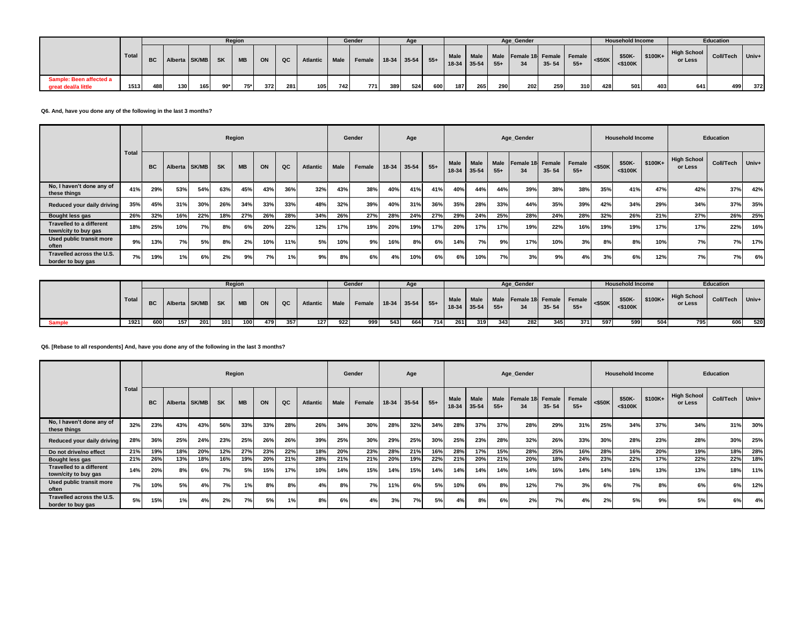|                                                |         |           |               |     |           | Region    |     |     |                  |        | Gender                       |     | Age |     |                          |     |       | Age Gender                         |           |       |           | <b>Household Income</b> |          |                               | <b>Education</b> |       |
|------------------------------------------------|---------|-----------|---------------|-----|-----------|-----------|-----|-----|------------------|--------|------------------------------|-----|-----|-----|--------------------------|-----|-------|------------------------------------|-----------|-------|-----------|-------------------------|----------|-------------------------------|------------------|-------|
|                                                | Total I | <b>BC</b> | Alberta SK/MB |     | <b>SK</b> | <b>MB</b> | ON  | QC  | Atlantic         | Male I | Female   18-34   35-54   55+ |     |     |     | Male Male<br>18-34 35-54 |     | $55+$ | Male Female 18 Female Female<br>34 | $35 - 54$ | $55+$ | $<$ \$50K | \$50K<br>$<$ \$100 $K$  | $$100K+$ | <b>High School</b><br>or Less | <b>Coll/Tech</b> | Univ+ |
| Sample: Been affected a<br>great deal/a little | 1513    | 488       | 130           | 165 | $90*$     | 75*       | 372 | 281 | 105 <sub>1</sub> | 742    | 771                          | 389 | 524 | 600 | 187                      | 265 | 290   | <b>2021</b>                        | 259       | 310   | 428       | 501                     | 403      | 641                           | 499              | 372   |

**Q6. And, have you done any of the following in the last 3 months?**

|                                                         |       |           |               |     |           | Region    |     |             |          |             | Gender |                 | Age       |       |                     |      |               | Age Gender             |           |                        |           | <b>Household Income</b> |         |                               | <b>Education</b> |       |
|---------------------------------------------------------|-------|-----------|---------------|-----|-----------|-----------|-----|-------------|----------|-------------|--------|-----------------|-----------|-------|---------------------|------|---------------|------------------------|-----------|------------------------|-----------|-------------------------|---------|-------------------------------|------------------|-------|
|                                                         | Total | <b>BC</b> | Alberta SK/MB |     | <b>SK</b> | <b>MB</b> | ON  | $_{\rm QC}$ | Atlantic | <b>Male</b> | Female | 18-34           | $35 - 54$ | $55+$ | Male<br>18-34 35-54 | Male | Male<br>$55+$ | Female 18 Female<br>34 | $35 - 54$ | <b>Female</b><br>$55+$ | $<$ \$50K | \$50K-<br>$<$ \$100 $K$ | \$100K+ | <b>High School</b><br>or Less | Coll/Tech        | Univ+ |
| No, I haven't done any of<br>these things               | 41%   | 29%       | 53%           | 54% | 63%       | 45%       | 43% | 36%         | 32%      | 43%         | 38%    | 40 <sup>o</sup> | 41%       | 41%   | 40%                 | 44%  | 44%           | 39%                    | 38%       | 38%                    | 35%       | 41%                     | 47%     | 42%                           | 37%              | 42%   |
| Reduced your daily driving                              | 35%   | 45%       | 31%           | 30% | 26%       | 34%       | 33% | 33%         | 48%      | 32%         | 39%    | 40 <sup>o</sup> | 31%       | 36%   | 35%                 | 28%  | 33%           | 44%                    | 35%       | 39%                    | 42%       | 34%                     | 29%     | 34%                           | 37%              | 35%   |
| Bought less gas                                         | 26%   | 32%       | 16%           | 22% | 18%       | 27%       | 26% | 28%         | 34%      | 26%         | 27%    | 28%             | 24%       | 27%   | 29%                 | 24%  | 25%           | 28%                    | 24%       | 28%                    | 32%       | 26%                     | 21%     | 27%                           | 26%              | 25%   |
| <b>Travelled to a different</b><br>town/city to buy gas | 18%   | 25%       | 10%           | 7%  | 8%        | 6%        | 20% | 22%         | 12%      | 17%         | 19%    | 20%             | 19%       | 17%   | 20%                 | 17%  | 17%           | 19%                    | 22%       | 16%                    | 19%       | 19%                     | 17%     | 17%                           | 22%              | 16%   |
| Used public transit more<br>often                       | 9%    | 13%       | 7%1           | 5%  | 8%        | 2%        | 10% | 11%         | 5%       | 10%         | 9%     | 16%             | 8%        | 6%    | 14%                 | 7%   | 9%            | 17%                    | 10%       | 3%                     | 8%        | 8%                      | 10%     | 7%                            | 7%               | 17%   |
| Travelled across the U.S.<br>border to buy gas          | 7%    | 19%       | 1%।           | 6%  | 2%        | 9%        | 7%  | 1%          | 9%       | 8%          | 6%     | 4%              | 10%       | 6%    | 6%                  | 10%  | 7%            | 3%                     | 9%        | 4%                     | 3%        | 6%                      | 12%     | 7%                            | 7%               | 6%    |

|               |       |           |                  |       |       | Region         |     |     |                 |             | Gender                 |     | Age |     |       |               |       | Age Gender                                   |           |       |           | <b>Household Income</b> |           |                               | Education        |         |
|---------------|-------|-----------|------------------|-------|-------|----------------|-----|-----|-----------------|-------------|------------------------|-----|-----|-----|-------|---------------|-------|----------------------------------------------|-----------|-------|-----------|-------------------------|-----------|-------------------------------|------------------|---------|
|               | Total | <b>BC</b> | Alberta SK/MB SK |       |       | $\blacksquare$ | ON  | QC  | <b>Atlantic</b> | <b>Male</b> | Female 18-34 35-54 55+ |     |     |     |       | $18-34$ 35-54 | $55+$ | Male Male Male Female 18 Female Female<br>34 | $35 - 54$ | $55+$ | $<$ \$50K | \$50K<br>$<$ \$100 $K$  | $ $100K+$ | <b>High School</b><br>or Less | <b>Coll/Tech</b> | $Univ+$ |
| <b>Sample</b> | 1921  | 600       | 157              | 201 l | 101 l | 100            | 479 | 357 | 127             | 922         | 999                    | 543 | 664 | 714 | 261 I | 319           | 343   | 282                                          | 345       | 371   | 597       | 599                     | 504       | 795                           | 606              | 520     |

### **Q6. [Rebase to all respondents] And, have you done any of the following in the last 3 months?**

|                                                         |       |           |               |     |           | Region    |     |     |          |      | Gender |     | Age         |       |                          |                      |                      | Age_Gender      |                     |                 |           | <b>Household Income</b> |          |                               | Education        |       |
|---------------------------------------------------------|-------|-----------|---------------|-----|-----------|-----------|-----|-----|----------|------|--------|-----|-------------|-------|--------------------------|----------------------|----------------------|-----------------|---------------------|-----------------|-----------|-------------------------|----------|-------------------------------|------------------|-------|
|                                                         | Total | <b>BC</b> | Alberta SK/MB |     | <b>SK</b> | <b>MB</b> | ON  | QC  | Atlantic | Male | Female |     | 18-34 35-54 | $55+$ | <b>Male</b><br>$18 - 34$ | <b>Male</b><br>35-54 | <b>Male</b><br>$55+$ | Female 18<br>34 | Female<br>$35 - 54$ | Female<br>$55+$ | $<$ \$50K | \$50K-<br>$<$ \$100K    | $$100K+$ | <b>High School</b><br>or Less | <b>Coll/Tech</b> | Univ+ |
| No, I haven't done any of<br>these things               | 32%   | 23%       | 43%           | 43% | 56%       | 33%       | 33% | 28% | 26%      | 34%  | 30%    | 28% | 32%         | 34%   | 28%                      | 37%                  | 37%                  | 28%             | 29%                 | 31%             | 25%       | 34%                     | 37%      | 34%                           | 31%              | 30%   |
| Reduced your daily driving                              | 28%   | 36%       | 25%           | 24% | 23%       | 25%       | 26% | 26% | 39%      | 25%  | 30%    | 29% | 25%         | 30%   | 25%                      | 23%                  | 28%                  | 32%             | 26%                 | 33%             | 30%       | 28%                     | 23%      | 28%                           | 30%              | 25%   |
| Do not drive/no effect                                  | 21%   | 19%       | 18%           | 20% | 12%       | 27%       | 23% | 22% | 18%      | 20%  | 23%    | 28% | 21%         | 16%   | 28%                      | 17%                  | 15%                  | 28%             | 25%                 | 16%             | 28%       | 16%                     | 20%      | 19%                           | 18%              | 28%   |
| Bought less gas                                         | 21%   | 26%       | 13%           | 18% | 16%       | 19%       | 20% | 21% | 28%      | 21%  | 21%    | 20% | 19%         | 22%   | 21%                      | 20%                  | 21%                  | 20%             | 18%                 | 24%             | 23%       | 22%                     | 17%      | 22%                           | 22%              | 18%   |
| <b>Travelled to a different</b><br>town/city to buy gas | 14%   | 20%       | 8%            | 6%  | 7%        | 5%        | 15% | 17% | 10%      | 14%  | 15%    | 14% | 15%         | 14%   | 14%                      | 14%                  | 14%                  | 14%             | 16%                 | 14%             | 14%       | 16%                     | 13%      | 13%                           | 18%              | 11%   |
| Used public transit more<br>often                       | 7%    | 10%       | 5%            | 4%  | 7%        | 1%        | 8%  | 8%  | 4%       | 8%   | 7%     | 11% | 6% I        | 5%    | 10%                      | 6%                   | 8%                   | 12%             | 7%                  | 3%              | 6%        | 7%                      | 8%       | 6%                            | 6%               | 12%   |
| Travelled across the U.S.<br>border to buy gas          | 5%    | 15%       | 1%            | 4%  | 2%        | 7%        | 5%  | 1%  | 8%       | 6%   | 4%     | 3%  | 7%          | 5%    | 4%                       | 8%                   | 6%                   | 2%              | 7%                  | 4%              | 2%        | 5%                      | 9%       | 5%                            | 6%               | 4%    |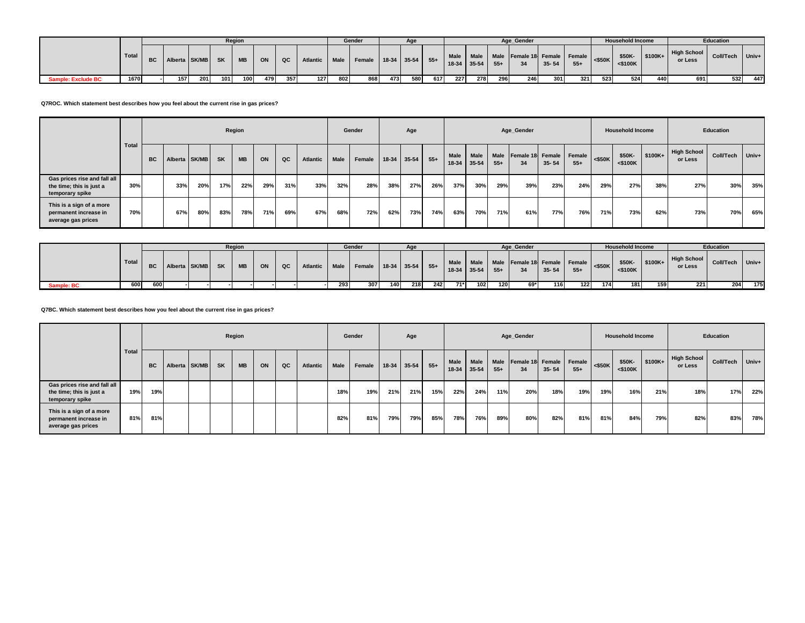|                           |         |           |                  |     |       | Region    |     |      |          |     | Gender                              |     | Age |     |             |           |       | Age Gender                         |           |       |           | <b>Household Income</b> |                             |                        | Education        |       |
|---------------------------|---------|-----------|------------------|-----|-------|-----------|-----|------|----------|-----|-------------------------------------|-----|-----|-----|-------------|-----------|-------|------------------------------------|-----------|-------|-----------|-------------------------|-----------------------------|------------------------|------------------|-------|
|                           | Total I | <b>BC</b> | Alberta SK/MB SK |     |       | <b>MB</b> | ON  | QC   | Atlantic |     | Male   Female   18-34   35-54   55+ |     |     |     | 18-34 35-54 | Male Male | $55+$ | Male Female 18 Female Female<br>34 | $35 - 54$ | $55+$ | $<$ \$50K | \$50K<br>$<$ \$100 $K$  | $\sqrt{\frac{100K+1}{100}}$ | High School<br>or Less | <b>Coll/Tech</b> | Univ+ |
| <b>Sample: Exclude BC</b> | 1670    |           | 157              | 201 | 101 l | 100       | 479 | 3571 | 127      | 802 | 868                                 | 473 | 580 | 617 | 227         | 278       | 296   | 246                                | 301       | 321   | 523       | 524                     | 440                         | 691                    | 532              | 447   |

**Q7ROC. Which statement best describes how you feel about the current rise in gas prices?**

|                                                                             |              |           |         |       |           | Region    |     |     |                 |             | Gender |       | Age       |       |               |                          |                      | Age_Gender                    |           |       |           | <b>Household Income</b> |         |                               | Education |       |
|-----------------------------------------------------------------------------|--------------|-----------|---------|-------|-----------|-----------|-----|-----|-----------------|-------------|--------|-------|-----------|-------|---------------|--------------------------|----------------------|-------------------------------|-----------|-------|-----------|-------------------------|---------|-------------------------------|-----------|-------|
|                                                                             | <b>Total</b> | <b>BC</b> | Alberta | SK/MB | <b>SK</b> | <b>MB</b> | ON  | QC  | <b>Atlantic</b> | <b>Male</b> | Female | 18-34 | $35 - 54$ | $55+$ | Male<br>18-34 | <b>Male</b><br>$35 - 54$ | <b>Male</b><br>$55+$ | Female 18 Female Female<br>34 | $35 - 54$ | $55+$ | $<$ \$50K | \$50K-<br>$<$ \$100 $K$ | \$100K+ | <b>High School</b><br>or Less | Coll/Tech | Univ+ |
| Gas prices rise and fall all<br>the time; this is just a<br>temporary spike | 30%          |           | 33%     | 20%   | 17%       | 22%       | 29% | 31% | 33%             | 32%         | 28%    | 38%   | 27%       | 26%   | 37%           | 30%                      | 29%                  | 39%                           | 23%       | 24%   | 29%       | 27%                     | 38%     | 27%                           | 30%       | 35%   |
| This is a sign of a more<br>permanent increase in<br>average gas prices     | 70%          |           | 67%     | 80%   | 83%       | 78%       | 71% | 69% | 67%             | 68%         | 72%    | 62%   | 73%       | 74%   | 63%           | 70%                      | 71%                  | 61%                           | 77%       | 76%   | 71%       | 73%                     | 62%     | 73%                           | 70%       | 65%   |

|            |       | Region |                  |  |    |           |    |    |          |             | Gender                 |     | Age |     |     |                          |       | Age Gender                         |           |       |              | <b>Household Income</b> |                |                               | <b>Education</b> |       |
|------------|-------|--------|------------------|--|----|-----------|----|----|----------|-------------|------------------------|-----|-----|-----|-----|--------------------------|-------|------------------------------------|-----------|-------|--------------|-------------------------|----------------|-------------------------------|------------------|-------|
|            | Total |        | BC Alberta SK/MB |  | SK | <b>MB</b> | ON | QC | Atlantic | <b>Male</b> | Female 18-34 35-54 55+ |     |     |     |     | Male Male<br>18-34 35-54 | $55+$ | Male Female 18 Female Female<br>34 | $35 - 54$ | $55+$ | $\leq$ \$50K | \$50K-<br><\$100K       | $\sim$ \$100K+ | <b>High School</b><br>or Less | Coll/Tech        | Univ+ |
| Sample: BC | 600   | 600    |                  |  |    |           |    |    |          | 293         | 307                    | 140 | 218 | 242 | 71* | 102                      | 120   | 69*                                | 116       | 122   | 174          | 181                     | 159            | 221                           | 204              | 175   |

**Q7BC. Which statement best describes how you feel about the current rise in gas prices?**

|                                                                             |       |           |               |           | Region    |    |    |          |      | Gender |     | Age         |       |      |                     |               | Age_Gender             |           |                 |           | <b>Household Income</b> |          |                        | Education |       |
|-----------------------------------------------------------------------------|-------|-----------|---------------|-----------|-----------|----|----|----------|------|--------|-----|-------------|-------|------|---------------------|---------------|------------------------|-----------|-----------------|-----------|-------------------------|----------|------------------------|-----------|-------|
|                                                                             | Total | <b>BC</b> | Alberta SK/MB | <b>SK</b> | <b>MB</b> | ON | QC | Atlantic | Male | Female |     | 18-34 35-54 | $55+$ | Male | Male<br>18-34 35-54 | Male<br>$55+$ | Female 18 Female<br>34 | $35 - 54$ | Female<br>$55+$ | $<$ \$50K | \$50K-<br>$<$ \$100K    | $$100K+$ | High School<br>or Less | Coll/Tech | Univ+ |
| Gas prices rise and fall all<br>the time; this is just a<br>temporary spike | 19%   | 19%       |               |           |           |    |    |          | 18%  | 19%    | 21% | 21%         | 15%   | 22%  | 24%                 | 11%           | 20%                    | 18%       | 19%             | 19%       | 16%                     | 21%      | 18%                    | 17%       | 22%   |
| This is a sign of a more<br>permanent increase in<br>average gas prices     | 81%   | 81%       |               |           |           |    |    |          | 82%  | 81%    | 79% | 79%         | 85%   | 78%  | 76%                 | 89%           | 80%                    | 82%       | 81%             | 81%       | 84%                     | 79%      | 82%                    | 83%       | 78%   |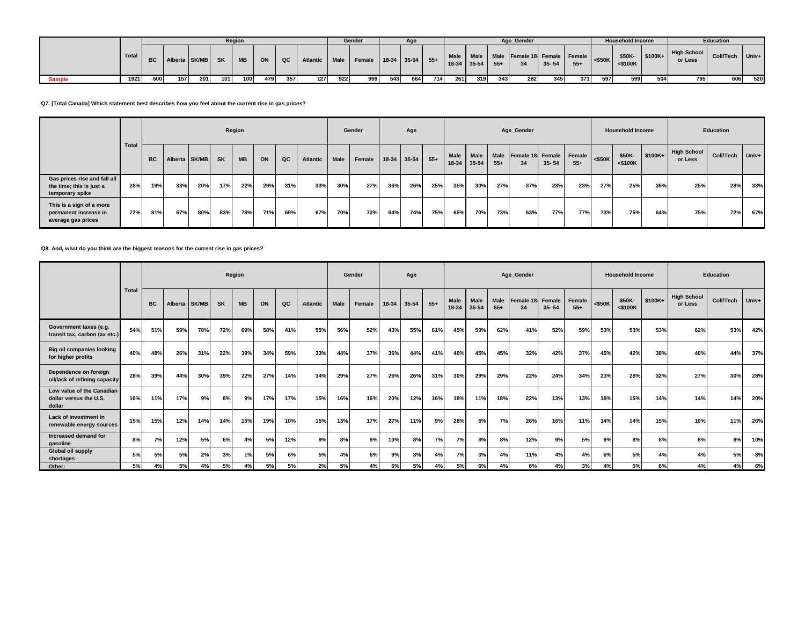|               |       |     |                           |             |       | Region         |     |     |                 |      | Gender                      |     |     |     |       |               |       | Age Gender                                               |           |       |                         | <b>Household Income</b> |          |                        | <b>Education</b> |         |
|---------------|-------|-----|---------------------------|-------------|-------|----------------|-----|-----|-----------------|------|-----------------------------|-----|-----|-----|-------|---------------|-------|----------------------------------------------------------|-----------|-------|-------------------------|-------------------------|----------|------------------------|------------------|---------|
|               | Total |     | BC   Alberta   SK/MB   SK |             |       | $\blacksquare$ | ON  | QC  | <b>Atlantic</b> |      | Male Female 18-34 35-54 55+ |     |     |     |       | $18-34$ 35-54 | $55+$ | Male   Male   Male   Female 18   Female   Female  <br>34 | $35 - 54$ | $55+$ | $\left  \right $ <\$50K | \$50K<br>$<$ \$100 $K$  | $$100K+$ | High School<br>or Less | <b>Coll/Tech</b> | $Univ+$ |
| <b>Sample</b> | 1921  | 600 | 157                       | <b>2011</b> | 101 l | 100            | 479 | 357 | 127             | 9221 | 999                         | 543 | 664 | 714 | 261 I | 319           | 343   | 282                                                      | 345       | 371   | 597                     | 599                     | 504      | 795                    | 606              | 520     |

**Q7. [Total Canada] Which statement best describes how you feel about the current rise in gas prices?**

|                                                                             |              |           |               |     |           | Region    |     |     |          |      | Gender |     | Age         |       |                      |               |               | Age_Gender                    |           |       |           | <b>Household Income</b> |          |                               | Education |       |
|-----------------------------------------------------------------------------|--------------|-----------|---------------|-----|-----------|-----------|-----|-----|----------|------|--------|-----|-------------|-------|----------------------|---------------|---------------|-------------------------------|-----------|-------|-----------|-------------------------|----------|-------------------------------|-----------|-------|
|                                                                             | <b>Total</b> | <b>BC</b> | Alberta SK/MB |     | <b>SK</b> | <b>MB</b> | ON  | QC  | Atlantic | Male | Female |     | 18-34 35-54 | $55+$ | <b>Male</b><br>18-34 | Male<br>35-54 | Male<br>$55+$ | Female 18 Female Female<br>34 | $35 - 54$ | $55+$ | $<$ \$50K | \$50K-<br>$<$ \$100K    | $$100K+$ | <b>High School</b><br>or Less | Coll/Tech | Univ+ |
| Gas prices rise and fall all<br>the time; this is just a<br>temporary spike | 28%          | 19%       | 33%           | 20% | 17%       | 22%       | 29% | 31% | 33%      | 30%  | 27%    | 36% | 26%         | 25%   | 35%                  | 30%           | 27%           | 37%                           | 23%       | 23%   | 27%       | 25%                     | 36%      | 25%                           | 28%       | 33%   |
| This is a sign of a more<br>permanent increase in<br>average gas prices     | 72%          | 81%       | 67%           | 80% | 83%       | 78%       | 71% | 69% | 67%      | 70%  | 73%    | 64% | 74%         | 75%   | 65%                  | 70%           | 73%           | 63%                           | 77%       | 77%   | 73%       | 75%                     | 64%      | 75%                           | 72%       | 67%   |

## **Q8. And, what do you think are the biggest reasons for the current rise in gas prices?**

|                                                               |              |           |     |               |           | Region    |     |     |                 |             | Gender |     | Age         |       |                      |                      |               | Age_Gender      |                     |                 |           | <b>Household Income</b> |         |                               | <b>Education</b> |           |
|---------------------------------------------------------------|--------------|-----------|-----|---------------|-----------|-----------|-----|-----|-----------------|-------------|--------|-----|-------------|-------|----------------------|----------------------|---------------|-----------------|---------------------|-----------------|-----------|-------------------------|---------|-------------------------------|------------------|-----------|
|                                                               | <b>Total</b> | <b>BC</b> |     | Alberta SK/MB | <b>SK</b> | <b>MB</b> | ON  | QC  | <b>Atlantic</b> | <b>Male</b> | Female |     | 18-34 35-54 | $55+$ | <b>Male</b><br>18-34 | <b>Male</b><br>35-54 | Male<br>$55+$ | Female 18<br>34 | Female<br>$35 - 54$ | Female<br>$55+$ | $<$ \$50K | \$50K-<br>$<$ \$100K    | \$100K+ | <b>High School</b><br>or Less | Coll/Tech        | $ $ Univ+ |
| Government taxes (e.g.<br>transit tax, carbon tax etc.)       | 54%          | 51%       | 59% | 70%           | 72%       | 69%       | 58% | 41% | 55%             | 56%         | 52%    | 43% | 55%         | 61%   | 45%                  | 59%                  | 62%           | 41%             | 52%                 | 59%             | 53%       | 53%                     | 53%     | 62%                           | 53%              | 42%       |
| <b>Big oil companies looking</b><br>for higher profits        | 40%          | 48%       | 26% | 31%           | 22%       | 39%       | 34% | 59% | 33%             | 44%         | 37%    | 36% | 44%         | 41%   | 40%                  | 45%                  | 45%           | 32%             | 42%                 | 37%             | 45%       | 42%                     | 38%     | 40%                           | 44%              | 37%       |
| Dependence on foreign<br>oil/lack of refining capacity        | 28%          | 39%       | 44% | 30%           | 39%       | 22%       | 27% | 14% | 34%             | 29%         | 27%    | 26% | 26%         | 31%   | 30%                  | 29%                  | 29%           | 22%             | 24%                 | 34%             | 23%       | 28%                     | 32%     | 27%                           | 30%              | 28%       |
| Low value of the Canadian<br>dollar versus the U.S.<br>dollar | 16%          | 11%       | 17% | 9%            | 8%        | 9%        | 17% | 17% | 15%             | 16%         | 16%    | 20% | 12%         | 16%   | 18%                  | 11%                  | 18%           | 22%             | 13%                 | 13%             | 18%       | 15%                     | 14%     | 14%                           | 14%              | 20%       |
| Lack of investment in<br>renewable energy sources             | 15%          | 15%       | 12% | 14%           | 14%       | 15%       | 19% | 10% | 15%             | 13%         | 17%    | 27% | 11%         | 9%    | 28%                  | 6%                   | 7%            | 26%             | 16%                 | 11%             | 14%       | 14%                     | 15%     | 10%                           | 11%              | 26%       |
| Increased demand for<br>gasoline                              | 8%           | 7%        | 12% | 5%            | 6%        | 4%        | 5%  | 12% | 9%              | 8%          | 9%     | 10% | 8%          | 7%    | 7%                   | 8%                   | 8%            | 12%             | 9%                  | 5%              | 9%        | 8%                      | 8%      | 8%                            | 8%               | 10%       |
| <b>Global oil supply</b><br>shortages                         | 5%           | 5%        | 5%  | 2%            | 3%        | 1%        | 5%  | 6%  | 5%              | 4%          | 6%     | 9%  | 3%          | 4%    | 7%                   | 3%                   | 4%            | 11%             | 4%                  | 4%              | 6%        | 5%                      | 4%      | 4%                            | 5%               | 8%        |
| Other:                                                        | 5%           | 4%        | 5%  | 4%            | 5%        | 4%        | 5%  | 5%  | 2%              | 5%          | 4%     | 6%  | 5%          | 4%    | 5%                   | 6%                   | 4%            | 6%              | 4%                  | 3%              | 4%        | 5%                      | 6%      | 4%                            | 4%               | 6%        |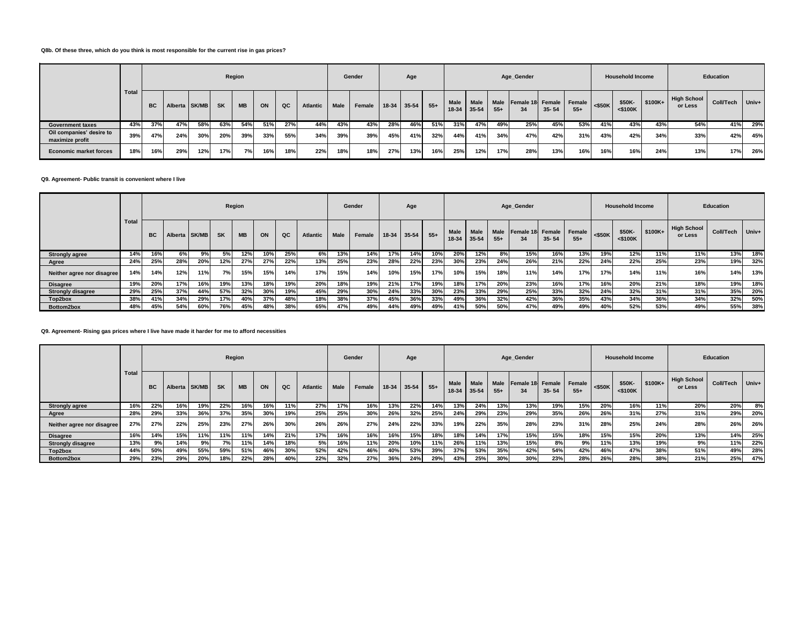#### **Q8b. Of these three, which do you think is most responsible for the current rise in gas prices?**

|                                             |              |           |               |     |           | Region    |     |     |                 |             | Gender |     | Age         |         |                   |                      |                      | Age_Gender                    |           |       |           | <b>Household Income</b> |          |                               | Education |       |
|---------------------------------------------|--------------|-----------|---------------|-----|-----------|-----------|-----|-----|-----------------|-------------|--------|-----|-------------|---------|-------------------|----------------------|----------------------|-------------------------------|-----------|-------|-----------|-------------------------|----------|-------------------------------|-----------|-------|
|                                             | <b>Total</b> | <b>BC</b> | Alberta SK/MB |     | <b>SK</b> | <b>MB</b> | ON  | QC  | <b>Atlantic</b> | <b>Male</b> | Female |     | 18-34 35-54 | $1.55+$ | Male<br>$18 - 34$ | <b>Male</b><br>35-54 | <b>Male</b><br>$55+$ | Female 18 Female Female<br>34 | $35 - 54$ | $55+$ | $<$ \$50K | \$50K-<br>$<$ \$100K    | $$100K+$ | <b>High School</b><br>or Less | Coll/Tech | Univ+ |
| <b>Government taxes</b>                     | 43%          | 37%       | 47%           | 58% | 63%       | 54%       | 51% | 27% | 44%             | 43%         | 43%    | 28% | 46%         | 51%     | 31%               | 47%                  | 49%                  | 25%                           | 45%       | 53%   | 41%       | 43%                     | 43%      | 54%                           | 41%       | 29%   |
| Oil companies' desire to<br>maximize profit | 39%          | 47%       | 24%           | 30% | 20%       | 39%       | 33% | 55% | 34%             | 39%         | 39%    | 45% | 41%         | 32%     | 44%               | 41%                  | 34%                  | 47%                           | 42%       | 31%   | 43%       | 42%                     | 34%      | 33%                           | 42%       | 45%   |
| <b>Economic market forces</b>               | 18%          | 16%       | 29%           | 12% | 17%       | 7%        | 16% | 18% | 22%             | 18%         | 18%    | 27% | 13%         | 16%     | 25%               | 12%                  | 17%                  | 28%                           | 13%       | 16%   | 16%       | 16%                     | 24%      | 13%                           | 17%       | 26%   |

**Q9. Agreement- Public transit is convenient where I live**

|                            |       |           |               |     |           | Region    |     |     |          |      | Gender |             | Age |       |                        |                          |                      | Age_Gender             |           |                 |           | <b>Household Income</b> |         |                               | Education |       |
|----------------------------|-------|-----------|---------------|-----|-----------|-----------|-----|-----|----------|------|--------|-------------|-----|-------|------------------------|--------------------------|----------------------|------------------------|-----------|-----------------|-----------|-------------------------|---------|-------------------------------|-----------|-------|
|                            | Total | <b>BC</b> | Alberta SK/MB |     | <b>SK</b> | <b>MB</b> | ON  | QC  | Atlantic | Male | Female | 18-34 35-54 |     | $55+$ | <b>Male</b><br>$18-34$ | <b>Male</b><br>$35 - 54$ | <b>Male</b><br>$55+$ | Female 18 Female<br>34 | $35 - 54$ | Female<br>$55+$ | $<$ \$50K | \$50K-<br>$<$ \$100K    | \$100K+ | <b>High School</b><br>or Less | Coll/Tech | Univ+ |
| <b>Strongly agree</b>      | 14%   | 16%       | 6%            | 9%  | 5%        | 12%       | 10% | 25% | 6%       | 13%  | 14%    | 17%         | 14% | 10%   | 20%                    | 12%                      | 8%                   | 15%                    | 16%       | 13%             | 19%       | 12%                     | 11%     | $11\%$                        | 13%       | 18%   |
| Agree                      | 24%   | 25%       | 28%           | 20% | 12%       | 27%       | 27% | 22% | 13%      | 25%  | 23%    | 28%         | 22% | 23%   | 30%                    | 23%                      | 24%                  | 26%                    | 21%       | 22%             | 24%       | 22%                     | 25%     | 23%                           | 19%       | 32%   |
| Neither agree nor disagree | 14%   | 14%       | 12%           | 11% | 7%        | 15%       | 15% | 14% | 17%      | 15%  | 14%    | 10%         | 15% | 17%   | 10%                    | 15%                      | 18%                  | 11%                    | 14%       | 17%             | 17%       | 14%                     | 11%     | 16%                           | 14%       | 13%   |
| <b>Disagree</b>            | 19%   | 20%       | 17%           | 16% | 19%       | 13%       | 18% | 19% | 20%      | 18%  | 19%    | 21%         | 17% | 19%   | 18%                    | 17%                      | 20%                  | 23%                    | 16%       | 17%             | 16%       | 20%                     | 21%     | 18%                           | 19%       | 18%   |
| <b>Strongly disagree</b>   | 29%   | 25%       | 37%           | 44% | 57%       | 32%       | 30% | 19% | 45%      | 29%  | 30%    | 24%         | 33% | 30%   | 23%                    | 33%                      | 29%                  | 25%                    | 33%       | 32%             | 24%       | 32%                     | 31%     | 31%                           | 35%       | 20%   |
| Top2box                    | 38%   | 41%       | 34%           | 29% | 17%       | 40%       | 37% | 48% | 18%      | 38%  | 37%    | 45%         | 36% | 33%   | 49%                    | 36%                      | 32%                  | 42%                    | 36%       | 35%             | 43%       | 34%                     | 36%     | 34%                           | 32%       | 50%   |
| Bottom2box                 | 48%   | 45%       | 54%           | 60% | 76%       | 45%       | 48% | 38% | 65%      | 47%  | 49%    | 44%         | 49% | 49%   | 41%                    | 50%                      | 50%                  | 47%                    | 49%       | 49%             | 40%       | 52%                     | 53%     | 49%                           | 55%       | 38%   |

### **Q9. Agreement- Rising gas prices where I live have made it harder for me to afford necessities**

|                            |              |           |         |       |           | Region    |     |     |                 |             | Gender |       | Age   |       |                      |                          |               | Age_Gender                    |           |       |           | <b>Household Income</b> |          |                               | <b>Education</b> |       |
|----------------------------|--------------|-----------|---------|-------|-----------|-----------|-----|-----|-----------------|-------------|--------|-------|-------|-------|----------------------|--------------------------|---------------|-------------------------------|-----------|-------|-----------|-------------------------|----------|-------------------------------|------------------|-------|
|                            | <b>Total</b> | <b>BC</b> | Alberta | SK/MB | <b>SK</b> | <b>MB</b> | ON  | QC  | <b>Atlantic</b> | <b>Male</b> | Female | 18-34 | 35-54 | $55+$ | <b>Male</b><br>18-34 | <b>Male</b><br>$35 - 54$ | Male<br>$55+$ | Female 18 Female Female<br>34 | $35 - 54$ | $55+$ | $<$ \$50K | \$50K-<br>$<$ \$100K    | $$100K+$ | <b>High School</b><br>or Less | Coll/Tech        | Univ+ |
| <b>Strongly agree</b>      | 16%          | 22%       | 16%     | 19%   | 22%       | 16%       | 16% | 11% | 27%             | 17%         | 16%    | 13%   | 22%   | 14%   | 13%                  | 24%                      | 13%           | 13%                           | 19%       | 15%   | 20%       | 16%                     | 11%      | 20%                           | 20%              | 8%    |
| Agree                      | 28%          | 29%       | 33%     | 36%   | 37%       | 35%       | 30% | 19% | 25%             | 25%         | 30%    | 26%   | 32%   | 25%   | 24%                  | 29%                      | 23%           | 29%                           | 35%       | 26%   | 26%       | 31%                     | 27%      | 31%                           | 29%              | 20%   |
| Neither agree nor disagree | 27%          | 27%       | 22%     | 25%   | 23%       | 27%       | 26% | 30% | 26%             | 26%         | 27%    | 24%   | 22%   | 33%   | 19%                  | 22%                      | 35%           | 28%                           | 23%       | 31%   | 28%       | 25%                     | 24%      | 28%                           | 26%              | 26%   |
| <b>Disagree</b>            | 16%          | 14%       | 15%     | 11%   | 11%       | 11%       | 14% | 21% | 17%             | 16%         | 16%    | 16%   | 15%   | 18%   | 18%                  | 14%                      | 17%           | 15%                           | 15%       | 18%   | 15%       | 15%                     | 20%      | 13%                           | 14%              | 25%   |
| <b>Strongly disagree</b>   | 13%          | 9%        | 14%     | 9%    | 7%        | 11%       | 14% | 18% | 5%              | 16%         | 11%    | 20%   | 10%   | 11%   | 26%                  | 11%                      | 13%           | 15%                           | 8%        | 9%    | 11%       | 13%                     | 19%      | 9%                            | 11%              | 22%   |
| Top2box                    | 44%          | 50%       | 49%     | 55%   | 59%       | 51%       | 46% | 30% | 52%             | 42%         | 46%    | 40%   | 53%   | 39%   | 37%                  | 53%                      | 35%           | 42%                           | 54%       | 42%   | 46%       | 47%                     | 38%      | 51%                           | 49%              | 28%   |
| Bottom2box                 | 29%          | 23%       | 29%     | 20%   | 18%       | 22%       | 28% | 40% | 22%             | 32%         | 27%    | 36%   | 24%   | 29%   | 43%                  | 25%                      | 30%           | 30%                           | 23%       | 28%   | 26%       | 28%                     | 38%      | 21%                           | 25%              | 47%   |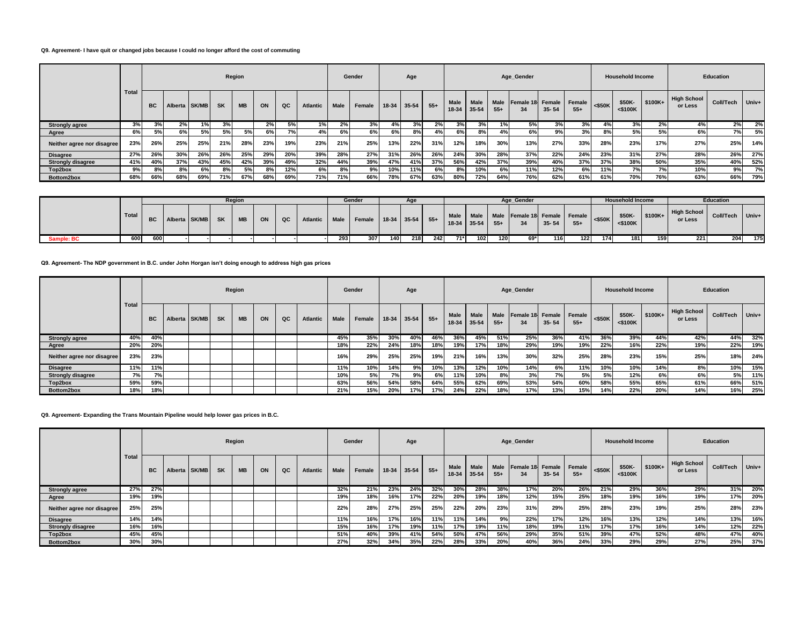### **Q9. Agreement- I have quit or changed jobs because I could no longer afford the cost of commuting**

|                            |       |           |         |              |           | Region    |     |     |          |             | Gender |           | Age       |       |                      |                      |               | Age Gender             |           |                 |           | <b>Household Income</b> |         |                          | Education |       |
|----------------------------|-------|-----------|---------|--------------|-----------|-----------|-----|-----|----------|-------------|--------|-----------|-----------|-------|----------------------|----------------------|---------------|------------------------|-----------|-----------------|-----------|-------------------------|---------|--------------------------|-----------|-------|
|                            | Total | <b>BC</b> | Alberta | <b>SK/MB</b> | <b>SK</b> | <b>MB</b> | ON  | QC  | Atlantic | <b>Male</b> | Female | $18 - 34$ | $35 - 54$ | $55+$ | <b>Male</b><br>18-34 | <b>Male</b><br>35-54 | Male<br>$55+$ | Female 18 Female<br>34 | $35 - 54$ | Female<br>$55+$ | $<$ \$50K | \$50K-<br>$<$ \$100K    | \$100K+ | High School  <br>or Less | Coll/Tech | Univ+ |
| <b>Strongly agree</b>      | 3%    | 3%        | 2%      | 1%1          | 3%        |           | 2%  | 5%  | 1%       | 2%          | 3%     | 4%        | 3%        | 2%    | 3%                   | 3%                   |               | 5%                     | 3%        | 3%              | 4%        | 3%                      | 2%      | 4%                       | 2%        | 2%    |
| Agree                      | 6%    | 5%        | 6%      | 5%           | 5%        | 5%        | 6%  | 7%  | 4%       | 6%          | 6%     | 6%        | 8%        | 4%    | 6%                   | 8%                   |               | 6%                     | 9%        | 3%              | 8%        | 5%                      | 5%      | 6%                       | 7%        | 5%    |
| Neither agree nor disagree | 23%   | 26%       | 25%     | 25%          | 21%       | 28%       | 23% | 19% | 23%      | 21%         | 25%    | 13%       | 22%       | 31%   | 12%                  | 18%                  | 30%           | 13%                    | 27%       | 33%             | 28%       | 23%                     | 17%     | 27%                      | 25%       | 14%   |
| <b>Disagree</b>            | 27%   | 26%       | 30%     | 26%          | 26%       | 25%       | 29% | 20% | 39%      | 28%         | 27%    | 31%       | 26%       | 26%   | 24%                  | 30%                  | 28%           | 37%                    | 22%       | 24%             | 23%       | 31%                     | 27%     | 28%                      | 26%       | 27%   |
| <b>Strongly disagree</b>   | 41%   | 40%       | 37%     | 43%          | 45%       | 42%       | 39% | 49% | 32%      | 44%         | 39%    | 47%       | 41%       | 37%   | 56%                  | 42%                  | 37%           | 39%                    | 40%       | 37%             | 37%       | 38%                     | 50%     | 35%                      | 40%       | 52%   |
| Top2box                    | 9%    | 8%        | 8%      | 6%           | 8%        | 5%        | 8%  | 12% | 6%       | 8%          | 9%     | 10%       | 11%       | 6%    | 8%                   | 10%                  | 6%            | 11%                    | 12%       | 6%              | 11%       | 7%                      | 7%      | 10%                      | 9%        | 7%    |
| Bottom2box                 | 68%   | 66%       | 68%     | 69%          | 71%       | 67%       | 68% | 69% | 71%      | 71%         | 66%    | 78%       | 67%       | 63%   | 80%                  | 72%                  | 64%           | 76%                    | 62%       | 61%             | 61%       | 70%                     | 76%     | 63%                      | 66%       | 79%   |

|            |       |           |               |           | Region    |    |    |                 |     | Gender                 |     |     |     |               |     |       | Age Gender                                   |           |       |           | <b>Household Income</b> |          |                        | <b>Education</b> |     |
|------------|-------|-----------|---------------|-----------|-----------|----|----|-----------------|-----|------------------------|-----|-----|-----|---------------|-----|-------|----------------------------------------------|-----------|-------|-----------|-------------------------|----------|------------------------|------------------|-----|
|            | Total | <b>BC</b> | Alberta SK/MB | <b>SK</b> | <b>MB</b> | ON | QC | Atlantic   Male |     | Female 18-34 35-54 55+ |     |     |     | $18-34$ 35-54 |     | $55+$ | Male Male Male Female 18 Female Female<br>34 | $35 - 54$ | $55+$ | $<$ \$50K | \$50K<br>$<$ \$100 $K$  | $$100K+$ | High School<br>or Less | Coll/Tech Univ+  |     |
| Sample: BC | 600 I | 600       |               |           |           |    |    |                 | 293 | 307                    | 140 | 218 | 242 | $71*$         | 102 | 120   | 69*                                          | 116       | 122   | 174       | 181                     | 159      | 221                    | 204              | 175 |

**Q9. Agreement- The NDP government in B.C. under John Horgan isn't doing enough to address high gas prices**

|                            |       |                                                                  |  |  |  | Region |                 |      |        | Gender      |     | Age   |               |                      |                      |                               | Age_Gender |       |           |                         | <b>Household Income</b> |                               |           | Education |     |
|----------------------------|-------|------------------------------------------------------------------|--|--|--|--------|-----------------|------|--------|-------------|-----|-------|---------------|----------------------|----------------------|-------------------------------|------------|-------|-----------|-------------------------|-------------------------|-------------------------------|-----------|-----------|-----|
|                            | Total | QC<br>Alberta SK/MB<br><b>SK</b><br><b>MB</b><br>ON<br><b>BC</b> |  |  |  |        | <b>Atlantic</b> | Male | Female | 18-34 35-54 |     | $55+$ | Male<br>18-34 | <b>Male</b><br>35-54 | <b>Male</b><br>$55+$ | Female 18 Female Female<br>34 | $35 - 54$  | $55+$ | $<$ \$50K | \$50K-<br>$<$ \$100 $K$ | \$100K+                 | <b>High School</b><br>or Less | Coll/Tech | Univ+     |     |
| <b>Strongly agree</b>      | 40%   | 40%                                                              |  |  |  |        |                 |      | 45%    | 35%         | 30% | 40%   | 46%           | 36%                  | 45%                  | 51%                           | 25%        | 36%   | 41%       | 36%                     | 39%                     | 44%                           | 42%       | 44%       | 32% |
| Agree                      | 20%   | 20%                                                              |  |  |  |        |                 |      | 18%    | 22%         | 24% | 18%   | 18%           | 19%                  | 17%                  | 18%                           | 29%        | 19%   | 19%       | 22%                     | 16%                     | 22%                           | 19%       | 22%       | 19% |
| Neither agree nor disagree | 23%   | 23%                                                              |  |  |  |        |                 |      | 16%    | 29%         | 25% | 25%   | 19%           | 21%                  | 16%                  | 13%                           | 30%        | 32%   | 25%       | 28%                     | 23%                     | 15%                           | 25%       | 18%       | 24% |
| <b>Disagree</b>            | 11%   | 11%                                                              |  |  |  |        |                 |      | 11%    | 10%         | 14% | 9%    | 10%           | 13%                  | 12%                  | 10%                           | 14%        | 6%    | 11%       | 10%                     | 10%                     | 14%                           | 8%        | 10%       | 15% |
| <b>Strongly disagree</b>   | 7%    | 7%                                                               |  |  |  |        |                 |      | 10%    | 5%          | 7%  | 9%    | 6%            | 11%                  | 10%                  | 8%                            | 3%         | 7%    | 5%        | 5%                      | 12%                     | 6%                            | 6%        | 5%        | 11% |
| Top2box                    | 59%   | 59%                                                              |  |  |  |        |                 |      | 63%    | 56%         | 54% | 58%   | 64%           | 55%                  | 62%                  | 69%                           | 53%        | 54%   | 60%       | 58%                     | 55%                     | 65%                           | 61%       | 66%       | 51% |
| Bottom2box                 | 18%   | 18%                                                              |  |  |  |        |                 |      | 21%    | 15%         | 20% | 17%   | 17%           | 24%                  | 22%                  | 18%                           | 17%        | 13%   | 15%       | 14%                     | 22%                     | 20%                           | 14%       | 16%       | 25% |

# **Q9. Agreement- Expanding the Trans Mountain Pipeline would help lower gas prices in B.C.**

|                            |       |                                                                     |  |  |  | Region |  |                 |      |        | Gender    |       | Age   |                 |                          |                      |                        | Age Gender |                 |           |                      | <b>Household Income</b> |                        |           | <b>Education</b> |     |
|----------------------------|-------|---------------------------------------------------------------------|--|--|--|--------|--|-----------------|------|--------|-----------|-------|-------|-----------------|--------------------------|----------------------|------------------------|------------|-----------------|-----------|----------------------|-------------------------|------------------------|-----------|------------------|-----|
|                            | Total | SK/MB<br><b>SK</b><br><b>MB</b><br>ON<br>QC<br><b>BC</b><br>Alberta |  |  |  |        |  | <b>Atlantic</b> | Male | Female | $18 - 34$ | 35-54 | $55+$ | Male<br>$18-34$ | <b>Male</b><br>$35 - 54$ | <b>Male</b><br>$55+$ | Female 18 Female<br>34 | $35 - 54$  | Female<br>$55+$ | $<$ \$50K | \$50K-<br>$<$ \$100K | \$100K+                 | High School<br>or Less | Coll/Tech | Univ+            |     |
| <b>Strongly agree</b>      | 27%   | 27%                                                                 |  |  |  |        |  |                 |      | 32%    | 21%       | 23%   | 24%   | 32%             | 30%                      | 28%                  | 38%                    | 17%        | 20%             | 26%       | 21%                  | 29%                     | 36%                    | 29%       | 31%              | 20% |
| Agree                      | 19%   | 19%                                                                 |  |  |  |        |  |                 |      | 19%    | 18%       | 16%   | 17%   | 22%             | 20%                      | 19%                  | 18%                    | 12%        | 15%             | 25%       | 18%                  | 19%                     | 16%                    | 19%       | 17%              | 20% |
| Neither agree nor disagree | 25%   | 25%                                                                 |  |  |  |        |  |                 |      | 22%    | 28%       | 27%   | 25%   | 25%             | 22%                      | 20%                  | 23%                    | 31%        | 29%             | 25%       | 28%                  | 23%                     | 19%                    | 25%       | 28%              | 23% |
| <b>Disagree</b>            | 14%   | 14%                                                                 |  |  |  |        |  |                 |      | 11%    | 16%       | 17%   | 16%   | 11%             | 11%                      | 14%                  | 9%                     | 22%        | 17%             | 12%       | 16%                  | 13%                     | 12%                    | 14%       | 13%              | 16% |
| <b>Strongly disagree</b>   | 16%   | 16%                                                                 |  |  |  |        |  |                 |      | 15%    | 16%       | 17%   | 19%   | 11%             | 17%                      | 19%                  | 11%                    | 18%        | 19%             | 11%       | 17%                  | 17%                     | 16%                    | 14%       | 12%              | 22% |
| Top2box                    | 45%   | 45%                                                                 |  |  |  |        |  |                 |      | 51%    | 40%       | 39%   | 41%   | 54%             | 50%                      | 47%                  | 56%                    | 29%        | 35%             | 51%       | 39%                  | 47%                     | 52%                    | 48%       | 47%              | 40% |
| Bottom2box                 | 30%   | 30%                                                                 |  |  |  |        |  |                 |      | 27%    | 32%       | 34%   | 35%   | 22%             | 28%                      | 33%                  | 20%                    | 40%        | 36%             | 24%       | 33%                  | 29%                     | 29%                    | 27%       | 25%              | 37% |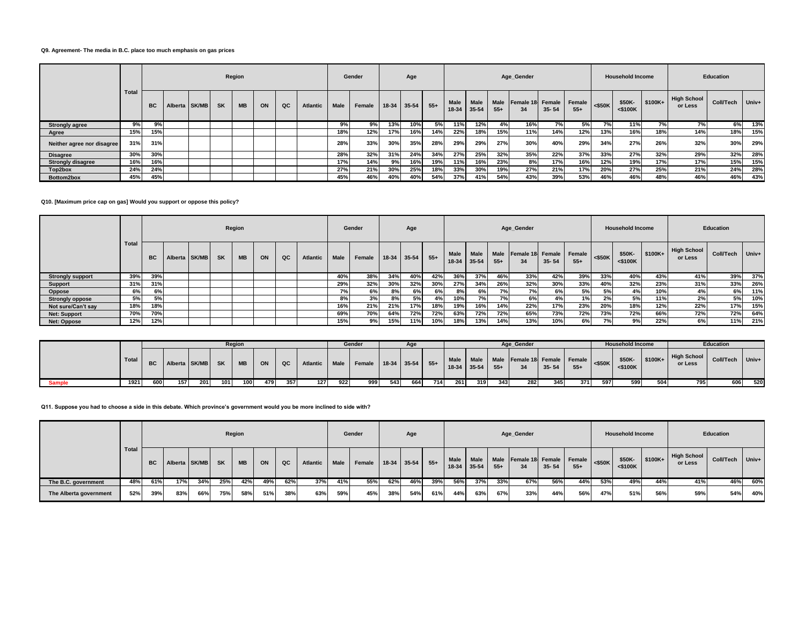#### **Q9. Agreement- The media in B.C. place too much emphasis on gas prices**

|                            |              |                                                                  |  |  |  | Region |  |                 |      |        | Gender |           | Age   |                      |                      |                      |                               | Age_Gender |       |           |                      | <b>Household Income</b> |                               |           | Education |     |
|----------------------------|--------------|------------------------------------------------------------------|--|--|--|--------|--|-----------------|------|--------|--------|-----------|-------|----------------------|----------------------|----------------------|-------------------------------|------------|-------|-----------|----------------------|-------------------------|-------------------------------|-----------|-----------|-----|
|                            | <b>Total</b> | QC<br>Alberta SK/MB<br><b>SK</b><br><b>MB</b><br>ON<br><b>BC</b> |  |  |  |        |  | <b>Atlantic</b> | Male | Female | 18-34  | $35 - 54$ | $55+$ | <b>Male</b><br>18-34 | <b>Male</b><br>35-54 | <b>Male</b><br>$55+$ | Female 18 Female Female<br>34 | $35 - 54$  | $55+$ | $<$ \$50K | \$50K-<br>$<$ \$100K | $$100K+$                | <b>High School</b><br>or Less | Coll/Tech | Univ+     |     |
| <b>Strongly agree</b>      | 9%           | 9%                                                               |  |  |  |        |  |                 |      | 9%     | 9%     | 13%       | 10%   | 5%                   | 11%                  | 12%                  | 4%                            | 16%        | 7%    | 5%        | 7%                   | 11%                     | 7%                            | 7%        | 6%        | 13% |
| Agree                      | 15%          | 15%                                                              |  |  |  |        |  |                 |      | 18%    | 12%    | 17%       | 16%   | 14%                  | 22%                  | 18%                  | 15%                           | 11%        | 14%   | 12%       | 13%                  | 16%                     | 18%                           | 14%       | 18%       | 15% |
| Neither agree nor disagree | 31%          | 31%                                                              |  |  |  |        |  |                 |      | 28%    | 33%    | 30%       | 35%   | 28%                  | 29%                  | 29%                  | 27%                           | 30%        | 40%   | 29%       | 34%                  | 27%                     | 26%                           | 32%       | 30%       | 29% |
| <b>Disagree</b>            | 30%          | 30%                                                              |  |  |  |        |  |                 |      | 28%    | 32%    | 31%       | 24%   | 34%                  | 27%                  | 25%                  | 32%                           | 35%        | 22%   | 37%       | 33%                  | 27%                     | 32%                           | 29%       | 32%       | 28% |
| <b>Strongly disagree</b>   | 16%          | 16%                                                              |  |  |  |        |  |                 |      | 17%    | 14%    | 9%        | 16%   | 19%                  | 11%                  | 16%                  | 23%                           | 8%         | 17%   | 16%       | 12%                  | 19%                     | 17%                           | 17%       | 15%       | 15% |
| Top2box                    | 24%          | 24%                                                              |  |  |  |        |  |                 |      | 27%    | 21%    | 30%       | 25%   | 18%                  | 33%                  | 30%                  | 19%                           | 27%        | 21%   | 17%       | 20%                  | 27%                     | 25%                           | 21%       | 24%       | 28% |
| Bottom2box                 | 45%          | 45%                                                              |  |  |  |        |  |                 |      | 45%    | 46%    | 40%       | 40%   | 54%                  | 37%                  | 41%                  | 54%                           | 43%        | 39%   | 53%       | 46%                  | 46%                     | 48%                           | 46%       | 46%       | 43% |

**Q10. [Maximum price cap on gas] Would you support or oppose this policy?**

|                         |              |                                                                  |  |  |  | Region |          |      |        | Gender  |       | Age   |                      |               |                      |                  | Age Gender |                 |           |                      | <b>Household Income</b> |                               |           | Education |     |
|-------------------------|--------------|------------------------------------------------------------------|--|--|--|--------|----------|------|--------|---------|-------|-------|----------------------|---------------|----------------------|------------------|------------|-----------------|-----------|----------------------|-------------------------|-------------------------------|-----------|-----------|-----|
|                         | <b>Total</b> | <b>SK</b><br>QC<br>Alberta SK/MB<br><b>MB</b><br>ON<br><b>BC</b> |  |  |  |        | Atlantic | Male | Female | $18-34$ | 35-54 | $55+$ | <b>Male</b><br>18-34 | Male<br>35-54 | <b>Male</b><br>$55+$ | Female 18 Female | $35 - 54$  | Female<br>$55+$ | $<$ \$50K | \$50K-<br>$<$ \$100K | $$100K+$                | <b>High School</b><br>or Less | Coll/Tech | Univ+     |     |
| <b>Strongly support</b> | 39%          | 39%                                                              |  |  |  |        |          |      | 40%    | 38%     | 34%   | 40%   | 42%                  | 36%           | 37%                  | 46%              | 33%        | 42%             | 39%       | 33%                  | 40%                     | 43%                           | 41%       | 39%       | 37% |
| <b>Support</b>          | 31%          | 31%                                                              |  |  |  |        |          |      | 29%    | 32%     | 30%   | 32%   | 30%                  | 27%           | 34%                  | 26%              | 32%        | 30%             | 33%       | 40%                  | 32%                     | 23%                           | 31%       | 33%       | 26% |
| Oppose                  | 6%           | 6%                                                               |  |  |  |        |          |      | 7%     | 6%      | 8%    | 6%    | 6%                   | 8%            | 6%                   | 70/              | 7%         | 6%              | 5%        | 5%                   | 4%                      | 10%                           | 4%        | 6%        | 11% |
| <b>Strongly oppose</b>  | 5%           | 5%                                                               |  |  |  |        |          |      | 8%     | 3%      | 8%    | 5%    | 4%                   | 10%           | 7%                   | 7%               | 6%         | 4%              | 1%        | 2%                   | 5%                      | 11%                           | 2%        | 5%        | 10% |
| Not sure/Can't say      | 18%          | 18%                                                              |  |  |  |        |          |      | 16%    | 21%     | 21%   | 17%   | 18%                  | 19%           | 16%                  | 14%              | 22%        | 17%             | 23%       | 20%                  | 18%                     | 12%                           | 22%       | 17%       | 15% |
| <b>Net: Support</b>     | 70%          | 70%                                                              |  |  |  |        |          |      | 69%    | 70%     | 64%   | 72%   | 72%                  | 63%           | 72%                  | 72%              | 65%        | 73%             | 72%       | 73%                  | 72%                     | 66%                           | 72%       | 72%       | 64% |
| Net: Oppose             | 12%          | 12%                                                              |  |  |  |        |          |      | 15%    | 9%      | 15%   | 11%   | 10%                  | 18%           | 13%                  | 14%              | 13%        | 10%             | 6%        | 7%                   | 9%                      | 22%                           | 6%        | 11%       | 21% |

|               |       | Region |                            |     |     |     |     |     |               | Gender |                        |     |     |     |     |                   | Age Gender |                                              |           |       | <b>Household Income</b> |                      |          | Education              |                  |         |
|---------------|-------|--------|----------------------------|-----|-----|-----|-----|-----|---------------|--------|------------------------|-----|-----|-----|-----|-------------------|------------|----------------------------------------------|-----------|-------|-------------------------|----------------------|----------|------------------------|------------------|---------|
|               | Total |        | <b>BC</b> Alberta SK/MB SK |     |     | MB  | ON  | QC  | Atlantic Male |        | Female 18-34 35-54 55+ |     |     |     |     | $18-34$ 35-54 55+ |            | Male Male Male Female 18 Female Female<br>34 | $35 - 54$ | $55+$ | $\leq$ \$50K            | \$50K-<br>$<$ \$100K | $$100K+$ | High School<br>or Less | <b>Coll/Tech</b> | $Univ+$ |
| <b>Sample</b> | 1921  | 600    | 157                        | 201 | 101 | 100 | 479 | 357 | 127           | 922    | 999                    | 543 | 664 | 714 | 261 | 319               | 343        | 282                                          | 345       | 371 I | 597                     | 599                  | 504      | 795                    | 606              | 520     |

**Q11. Suppose you had to choose a side in this debate. Which province's government would you be more inclined to side with?**

|                        |       |           |                  |     | Gender | Age       |     |     | Age_Gender      |             |        |     |                   |     |      | <b>Household Income</b> |       | Education                          |           |       |           |                         |          |                               |           |       |
|------------------------|-------|-----------|------------------|-----|--------|-----------|-----|-----|-----------------|-------------|--------|-----|-------------------|-----|------|-------------------------|-------|------------------------------------|-----------|-------|-----------|-------------------------|----------|-------------------------------|-----------|-------|
|                        | Total | <b>BC</b> | Alberta SK/MB SK |     |        | <b>MB</b> | ON  | QC  | <b>Atlantic</b> | <b>Male</b> | Female |     | $18-34$ 35-54 55+ |     | Male | Male<br>18-34 35-54     | $55+$ | Male Female 18 Female Female<br>34 | $35 - 54$ | $55+$ | $<$ \$50K | \$50K-<br>$<$ \$100 $K$ | $$100K+$ | <b>High School</b><br>or Less | Coll/Tech | Univ+ |
| The B.C. government    | 48%   | 61%       | 17%              | 34% | 25%    | 42%       | 49% | 62% | 37%             | 41%         | 55%    | 62% | 46%               | 39% | 56%  | 37%                     | 33%   | 67%                                | 56%       | 44%   | 53%       | 49%                     | 44%      | 41%                           | 46%       | 60%   |
| The Alberta government | 52%   | 39%       | 83%              | 66% | 75%    | 58%       | 51% | 38% | 63%             | 59%         | 45%    | 38% | 54%               | 61% | 44%  | 63%                     | 67%   | 33%                                | 44%       | 56%   | 47%       | 51%                     | 56%      | 59%                           | 54%       | 40%   |